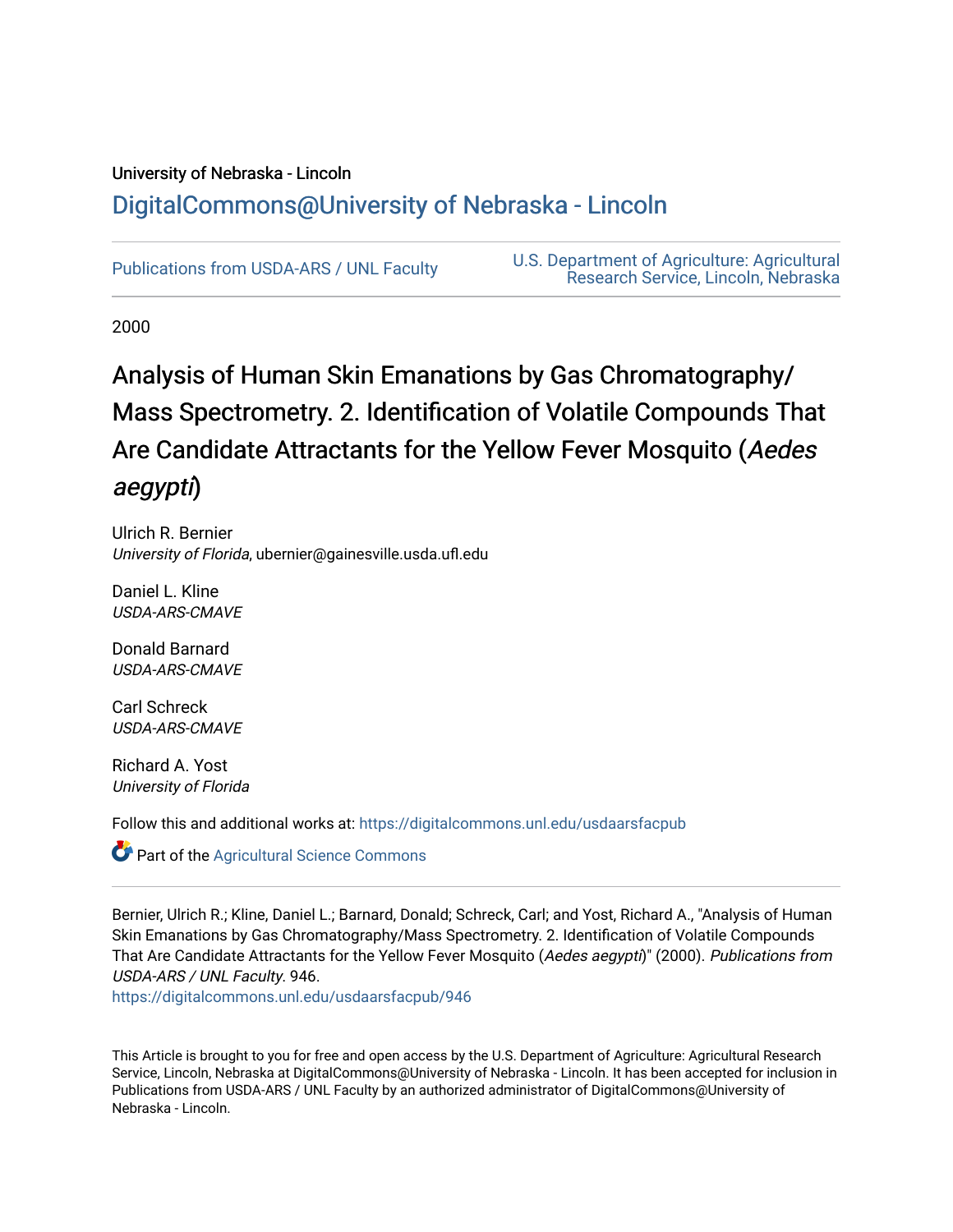## University of Nebraska - Lincoln [DigitalCommons@University of Nebraska - Lincoln](https://digitalcommons.unl.edu/)

[Publications from USDA-ARS / UNL Faculty](https://digitalcommons.unl.edu/usdaarsfacpub) [U.S. Department of Agriculture: Agricultural](https://digitalcommons.unl.edu/usdaars)  [Research Service, Lincoln, Nebraska](https://digitalcommons.unl.edu/usdaars) 

2000

# Analysis of Human Skin Emanations by Gas Chromatography/ Mass Spectrometry. 2. Identification of Volatile Compounds That Are Candidate Attractants for the Yellow Fever Mosquito (Aedes aegypti)

Ulrich R. Bernier University of Florida, ubernier@gainesville.usda.ufl.edu

Daniel L. Kline USDA-ARS-CMAVE

Donald Barnard USDA-ARS-CMAVE

Carl Schreck USDA-ARS-CMAVE

Richard A. Yost University of Florida

Follow this and additional works at: [https://digitalcommons.unl.edu/usdaarsfacpub](https://digitalcommons.unl.edu/usdaarsfacpub?utm_source=digitalcommons.unl.edu%2Fusdaarsfacpub%2F946&utm_medium=PDF&utm_campaign=PDFCoverPages)

Part of the [Agricultural Science Commons](http://network.bepress.com/hgg/discipline/1063?utm_source=digitalcommons.unl.edu%2Fusdaarsfacpub%2F946&utm_medium=PDF&utm_campaign=PDFCoverPages)

Bernier, Ulrich R.; Kline, Daniel L.; Barnard, Donald; Schreck, Carl; and Yost, Richard A., "Analysis of Human Skin Emanations by Gas Chromatography/Mass Spectrometry. 2. Identification of Volatile Compounds That Are Candidate Attractants for the Yellow Fever Mosquito (Aedes aegypti)" (2000). Publications from USDA-ARS / UNL Faculty. 946.

[https://digitalcommons.unl.edu/usdaarsfacpub/946](https://digitalcommons.unl.edu/usdaarsfacpub/946?utm_source=digitalcommons.unl.edu%2Fusdaarsfacpub%2F946&utm_medium=PDF&utm_campaign=PDFCoverPages)

This Article is brought to you for free and open access by the U.S. Department of Agriculture: Agricultural Research Service, Lincoln, Nebraska at DigitalCommons@University of Nebraska - Lincoln. It has been accepted for inclusion in Publications from USDA-ARS / UNL Faculty by an authorized administrator of DigitalCommons@University of Nebraska - Lincoln.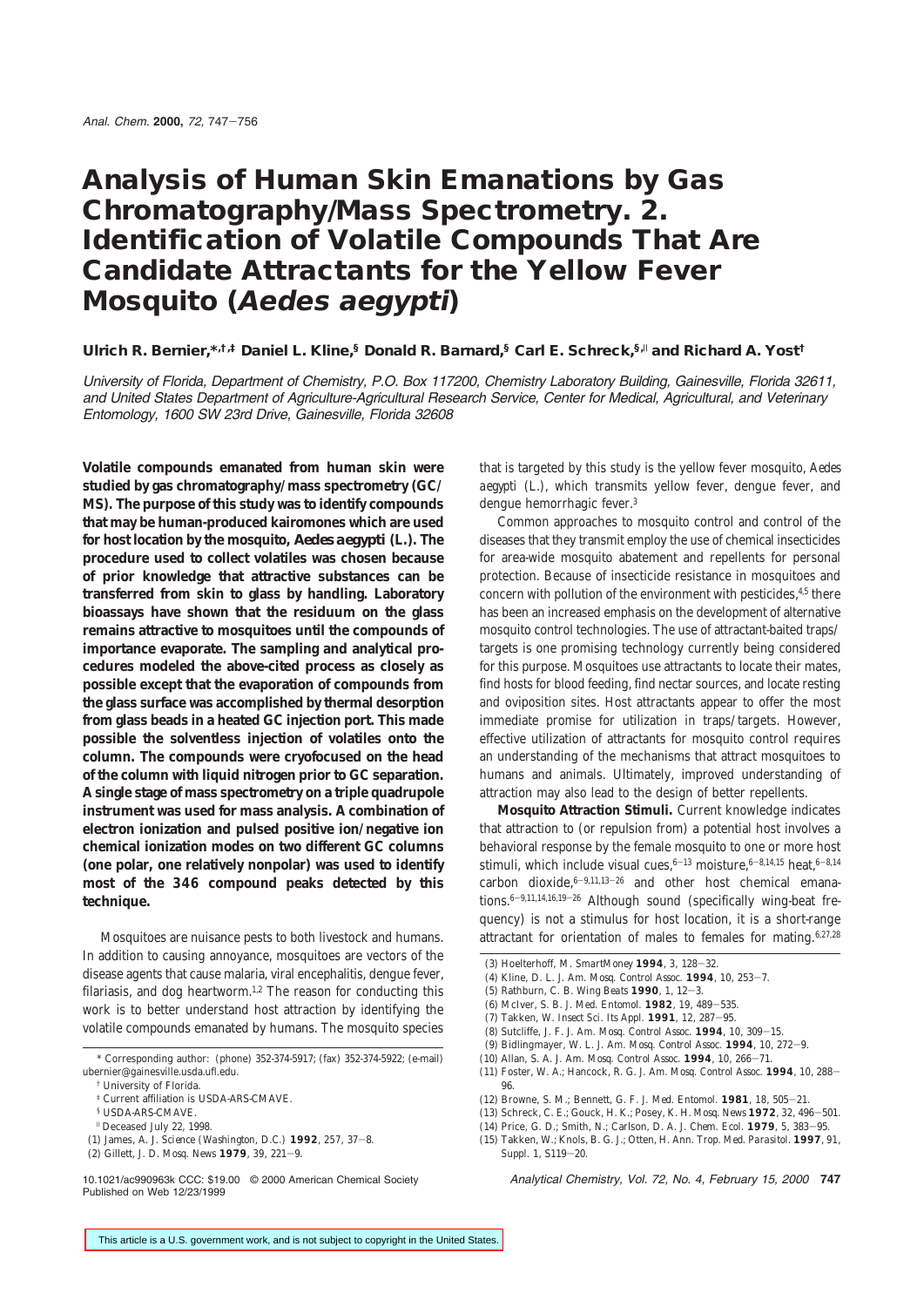# **Analysis of Human Skin Emanations by Gas Chromatography/Mass Spectrometry. 2. Identification of Volatile Compounds That Are Candidate Attractants for the Yellow Fever Mosquito (Aedes aegypti)**

**Ulrich R. Bernier,\*,†,‡ Daniel L. Kline,§ Donald R. Barnard,§ Carl E. Schreck,§,**<sup>|</sup> **and Richard A. Yost†**

University of Florida, Department of Chemistry, P.O. Box 117200, Chemistry Laboratory Building, Gainesville, Florida 32611, and United States Department of Agriculture-Agricultural Research Service, Center for Medical, Agricultural, and Veterinary Entomology, 1600 SW 23rd Drive, Gainesville, Florida 32608

**Volatile compounds emanated from human skin were studied by gas chromatography/mass spectrometry (GC/ MS). The purpose of this study was to identify compounds that may be human-produced kairomones which are used for host location by the mosquito,** *Aedes aegypti* **(L.). The procedure used to collect volatiles was chosen because of prior knowledge that attractive substances can be transferred from skin to glass by handling. Laboratory bioassays have shown that the residuum on the glass remains attractive to mosquitoes until the compounds of importance evaporate. The sampling and analytical procedures modeled the above-cited process as closely as possible except that the evaporation of compounds from the glass surface was accomplished by thermal desorption from glass beads in a heated GC injection port. This made possible the solventless injection of volatiles onto the column. The compounds were cryofocused on the head of the column with liquid nitrogen prior to GC separation. A single stage of mass spectrometry on a triple quadrupole instrument was used for mass analysis. A combination of electron ionization and pulsed positive ion/negative ion chemical ionization modes on two different GC columns (one polar, one relatively nonpolar) was used to identify most of the 346 compound peaks detected by this technique.**

Mosquitoes are nuisance pests to both livestock and humans. In addition to causing annoyance, mosquitoes are vectors of the disease agents that cause malaria, viral encephalitis, dengue fever, filariasis, and dog heartworm.<sup>1,2</sup> The reason for conducting this work is to better understand host attraction by identifying the volatile compounds emanated by humans. The mosquito species that is targeted by this study is the yellow fever mosquito, *Aedes aegypti* (L.), which transmits yellow fever, dengue fever, and dengue hemorrhagic fever.3

Common approaches to mosquito control and control of the diseases that they transmit employ the use of chemical insecticides for area-wide mosquito abatement and repellents for personal protection. Because of insecticide resistance in mosquitoes and concern with pollution of the environment with pesticides,<sup>4,5</sup> there has been an increased emphasis on the development of alternative mosquito control technologies. The use of attractant-baited traps/ targets is one promising technology currently being considered for this purpose. Mosquitoes use attractants to locate their mates, find hosts for blood feeding, find nectar sources, and locate resting and oviposition sites. Host attractants appear to offer the most immediate promise for utilization in traps/targets. However, effective utilization of attractants for mosquito control requires an understanding of the mechanisms that attract mosquitoes to humans and animals. Ultimately, improved understanding of attraction may also lead to the design of better repellents.

**Mosquito Attraction Stimuli.** Current knowledge indicates that attraction to (or repulsion from) a potential host involves a behavioral response by the female mosquito to one or more host stimuli, which include visual cues,  $6-13$  moisture,  $6-8,14,15$  heat,  $6-8,14$ carbon dioxide, $6-9,11,13-26$  and other host chemical emanations.<sup>6-9,11,14,16,19-26</sup> Although sound (specifically wing-beat frequency) is not a stimulus for host location, it is a short-range attractant for orientation of males to females for mating.6,27,28

- (4) Kline, D. L. *J. Am. Mosq. Control Assoc.* **1994**, *10*, 253-7.
- (5) Rathburn, C. B. *Wing Beats* **1990**, *1*, 12-3.
- (6) McIver, S. B. *J. Med. Entomol.* **1982**, *19*, 489-535.
- (7) Takken, W. *Insect Sci. Its Appl.* **1991**, *12*, 287-95.
- (8) Sutcliffe, J. F. *J. Am. Mosq. Control Assoc.* **1994**, *10*, 309-15.
- (9) Bidlingmayer, W. L. *J. Am. Mosq. Control Assoc.* **1994**, *10*, 272-9.
- (10) Allan, S. A. *J. Am. Mosq. Control Assoc.* **1994**, *10*, 266-71.
- (11) Foster, W. A.; Hancock, R. G. *J. Am. Mosq. Control Assoc.* **1994**, *10*, 288- 96.
- (12) Browne, S. M.; Bennett, G. F. *J. Med. Entomol.* **1981**, *18*, 505-21.
- (13) Schreck, C. E.; Gouck, H. K.; Posey, K. H. *Mosq. News* **1972**, *32*, 496-501.
- (14) Price, G. D.; Smith, N.; Carlson, D. A. *J. Chem. Ecol.* **1979**, *5*, 383-95.
- (15) Takken, W.; Knols, B. G. J.; Otten, H. *Ann. Trop. Med. Parasitol.* **1997**, *91*, *Suppl. 1*, S119-20.

10.1021/ac990963k CCC: \$19.00 © 2000 American Chemical Society Analytical Chemistry, Vol. 72, No. 4, February 15, 2000 **747**

<sup>\*</sup> Corresponding author: (phone) 352-374-5917; (fax) 352-374-5922; (e-mail) ubernier@gainesville.usda.ufl.edu.

<sup>†</sup> University of Florida.

<sup>‡</sup> Current affiliation is USDA-ARS-CMAVE.

<sup>§</sup> USDA-ARS-CMAVE.

<sup>|</sup> Deceased July 22, 1998.

<sup>(1)</sup> James, A. J. *Science (Washington, D.C.)* **1992**, *257*, 37-8.

<sup>(2)</sup> Gillett, J. D. *Mosq. News* **1979**, *39*, 221-9.

Published on Web 12/23/1999

<sup>(3)</sup> Hoelterhoff, M. *SmartMoney* **1994**, *3*, 128-32.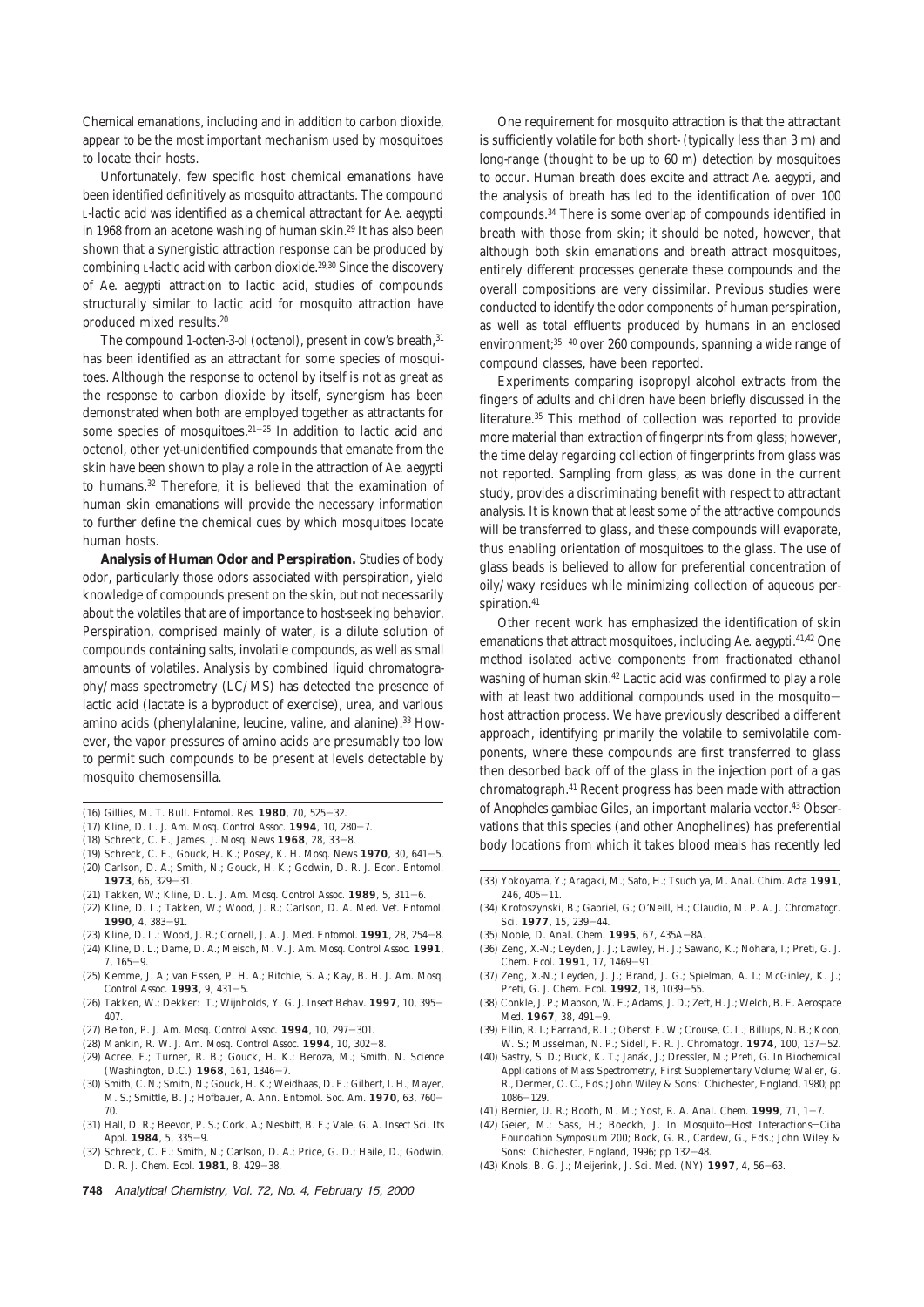Chemical emanations, including and in addition to carbon dioxide, appear to be the most important mechanism used by mosquitoes to locate their hosts.

Unfortunately, few specific host chemical emanations have been identified definitively as mosquito attractants. The compound L-lactic acid was identified as a chemical attractant for *Ae. aegypti* in 1968 from an acetone washing of human skin.29 It has also been shown that a synergistic attraction response can be produced by combining L-lactic acid with carbon dioxide.29,30 Since the discovery of *Ae. aegypti* attraction to lactic acid, studies of compounds structurally similar to lactic acid for mosquito attraction have produced mixed results.20

The compound 1-octen-3-ol (octenol), present in cow's breath, 31 has been identified as an attractant for some species of mosquitoes. Although the response to octenol by itself is not as great as the response to carbon dioxide by itself, synergism has been demonstrated when both are employed together as attractants for some species of mosquitoes. $21-25$  In addition to lactic acid and octenol, other yet-unidentified compounds that emanate from the skin have been shown to play a role in the attraction of *Ae. aegypti* to humans.32 Therefore, it is believed that the examination of human skin emanations will provide the necessary information to further define the chemical cues by which mosquitoes locate human hosts.

**Analysis of Human Odor and Perspiration.** Studies of body odor, particularly those odors associated with perspiration, yield knowledge of compounds present on the skin, but not necessarily about the volatiles that are of importance to host-seeking behavior. Perspiration, comprised mainly of water, is a dilute solution of compounds containing salts, involatile compounds, as well as small amounts of volatiles. Analysis by combined liquid chromatography/mass spectrometry (LC/MS) has detected the presence of lactic acid (lactate is a byproduct of exercise), urea, and various amino acids (phenylalanine, leucine, valine, and alanine).33 However, the vapor pressures of amino acids are presumably too low to permit such compounds to be present at levels detectable by mosquito chemosensilla.

- (16) Gillies, M. T. *Bull. Entomol. Res.* **1980**, *70*, 525-32.
- (17) Kline, D. L. *J. Am. Mosq. Control Assoc.* **1994**, *10*, 280-7.
- (18) Schreck, C. E.; James, J. *Mosq. News* **1968**, *28*, 33-8.
- (19) Schreck, C. E.; Gouck, H. K.; Posey, K. H. *Mosq. News* **1970**, *30*, 641-5.
- (20) Carlson, D. A.; Smith, N.; Gouck, H. K.; Godwin, D. R. *J. Econ. Entomol.* **1973**, *66*, 329-31.
- (21) Takken, W.; Kline, D. L. *J. Am. Mosq. Control Assoc.* **1989**, *5*, 311-6.
- (22) Kline, D. L.; Takken, W.; Wood, J. R.; Carlson, D. A. *Med. Vet. Entomol.* **1990**, *4*, 383-91.
- (23) Kline, D. L.; Wood, J. R.; Cornell, J. A. *J. Med. Entomol.* **1991**, *28*, 254-8.
- (24) Kline, D. L.; Dame, D. A.; Meisch, M. V. *J. Am. Mosq. Control Assoc.* **1991**, *7*, 165-9.
- (25) Kemme, J. A.; van Essen, P. H. A.; Ritchie, S. A.; Kay, B. H. *J. Am. Mosq. Control Assoc.* **1993**, *9*, 431-5.
- (26) Takken, W.; Dekker: T.; Wijnholds, Y. G. *J. Insect Behav.* **1997**, *10*, 395- 407.
- (27) Belton, P. *J. Am. Mosq. Control Assoc.* **1994**, *10*, 297-301.
- (28) Mankin, R. W. *J. Am. Mosq. Control Assoc.* **1994**, *10*, 302-8.
- (29) Acree, F.; Turner, R. B.; Gouck, H. K.; Beroza, M.; Smith, N. *Science (Washington, D.C.)* **1968**, *161*, 1346-7.
- (30) Smith, C. N.; Smith, N.; Gouck, H. K.; Weidhaas, D. E.; Gilbert, I. H.; Mayer, M. S.; Smittle, B. J.; Hofbauer, A. *Ann. Entomol. Soc. Am.* **1970**, *63*, 760- 70.
- (31) Hall, D. R.; Beevor, P. S.; Cork, A.; Nesbitt, B. F.; Vale, G. A. *Insect Sci. Its Appl.* **1984**, *5*, 335-9.
- (32) Schreck, C. E.; Smith, N.; Carlson, D. A.; Price, G. D.; Haile, D.; Godwin, D. R. *J. Chem. Ecol.* **1981**, *8*, 429-38.
- **748** Analytical Chemistry, Vol. 72, No. 4, February 15, 2000

One requirement for mosquito attraction is that the attractant is sufficiently volatile for both short- (typically less than 3 m) and long-range (thought to be up to 60 m) detection by mosquitoes to occur. Human breath does excite and attract *Ae. aegypti*, and the analysis of breath has led to the identification of over 100 compounds.34 There is some overlap of compounds identified in breath with those from skin; it should be noted, however, that although both skin emanations and breath attract mosquitoes, entirely different processes generate these compounds and the overall compositions are very dissimilar. Previous studies were conducted to identify the odor components of human perspiration, as well as total effluents produced by humans in an enclosed environment;35-<sup>40</sup> over 260 compounds, spanning a wide range of compound classes, have been reported.

Experiments comparing isopropyl alcohol extracts from the fingers of adults and children have been briefly discussed in the literature.35 This method of collection was reported to provide more material than extraction of fingerprints from glass; however, the time delay regarding collection of fingerprints from glass was not reported. Sampling from glass, as was done in the current study, provides a discriminating benefit with respect to attractant analysis. It is known that at least some of the attractive compounds will be transferred to glass, and these compounds will evaporate, thus enabling orientation of mosquitoes to the glass. The use of glass beads is believed to allow for preferential concentration of oily/waxy residues while minimizing collection of aqueous perspiration.<sup>41</sup>

Other recent work has emphasized the identification of skin emanations that attract mosquitoes, including *Ae. aegypti*.<sup>41,42</sup> One method isolated active components from fractionated ethanol washing of human skin.<sup>42</sup> Lactic acid was confirmed to play a role with at least two additional compounds used in the mosquitohost attraction process. We have previously described a different approach, identifying primarily the volatile to semivolatile components, where these compounds are first transferred to glass then desorbed back off of the glass in the injection port of a gas chromatograph.41 Recent progress has been made with attraction of *Anopheles gambiae* Giles, an important malaria vector.43 Observations that this species (and other Anophelines) has preferential body locations from which it takes blood meals has recently led

- (33) Yokoyama, Y.; Aragaki, M.; Sato, H.; Tsuchiya, M. *Anal. Chim. Acta* **1991**, *246*, 405-11.
- (34) Krotoszynski, B.; Gabriel, G.; O'Neill, H.; Claudio, M. P. A. *J. Chromatogr. Sci.* **1977**, *15*, 239-44.
- (35) Noble, D. *Anal. Chem.* **1995**, *67*, 435A-8A.
- (36) Zeng, X.-N.; Leyden, J. J.; Lawley, H. J.; Sawano, K.; Nohara, I.; Preti, G. *J. Chem. Ecol.* **1991**, *17*, 1469-91.
- (37) Zeng, X.-N.; Leyden, J. J.; Brand, J. G.; Spielman, A. I.; McGinley, K. J.; Preti, G. *J. Chem. Ecol.* **1992**, *18*, 1039-55.
- (38) Conkle, J. P.; Mabson, W. E.; Adams, J. D.; Zeft, H. J.; Welch, B. E. *Aerospace Med.* **1967**, *38*, 491-9.
- (39) Ellin, R. I.; Farrand, R. L.; Oberst, F. W.; Crouse, C. L.; Billups, N. B.; Koon, W. S.; Musselman, N. P.; Sidell, F. R. *J. Chromatogr.* **1974**, *100*, 137-52.
- (40) Sastry, S. D.; Buck, K. T.; Jana´k, J.; Dressler, M.; Preti, G. In *Biochemical Applications of Mass Spectrometry, First Supplementary Volume*; Waller, G. R., Dermer, O. C., Eds.; John Wiley & Sons: Chichester, England, 1980; pp 1086-129.
- (41) Bernier, U. R.; Booth, M. M.; Yost, R. A. *Anal. Chem.* **1999**, *71*, 1-7.
- (42) Geier, M.: Sass, H.: Boeckh, J. In *Mosquito-Host Interactions-Ciba Foundation Symposium 200*; Bock, G. R., Cardew, G., Eds.; John Wiley & Sons: Chichester, England, 1996; pp 132-48.
- (43) Knols, B. G. J.; Meijerink, J. *Sci. Med. (NY)* **1997**, *4*, 56-63.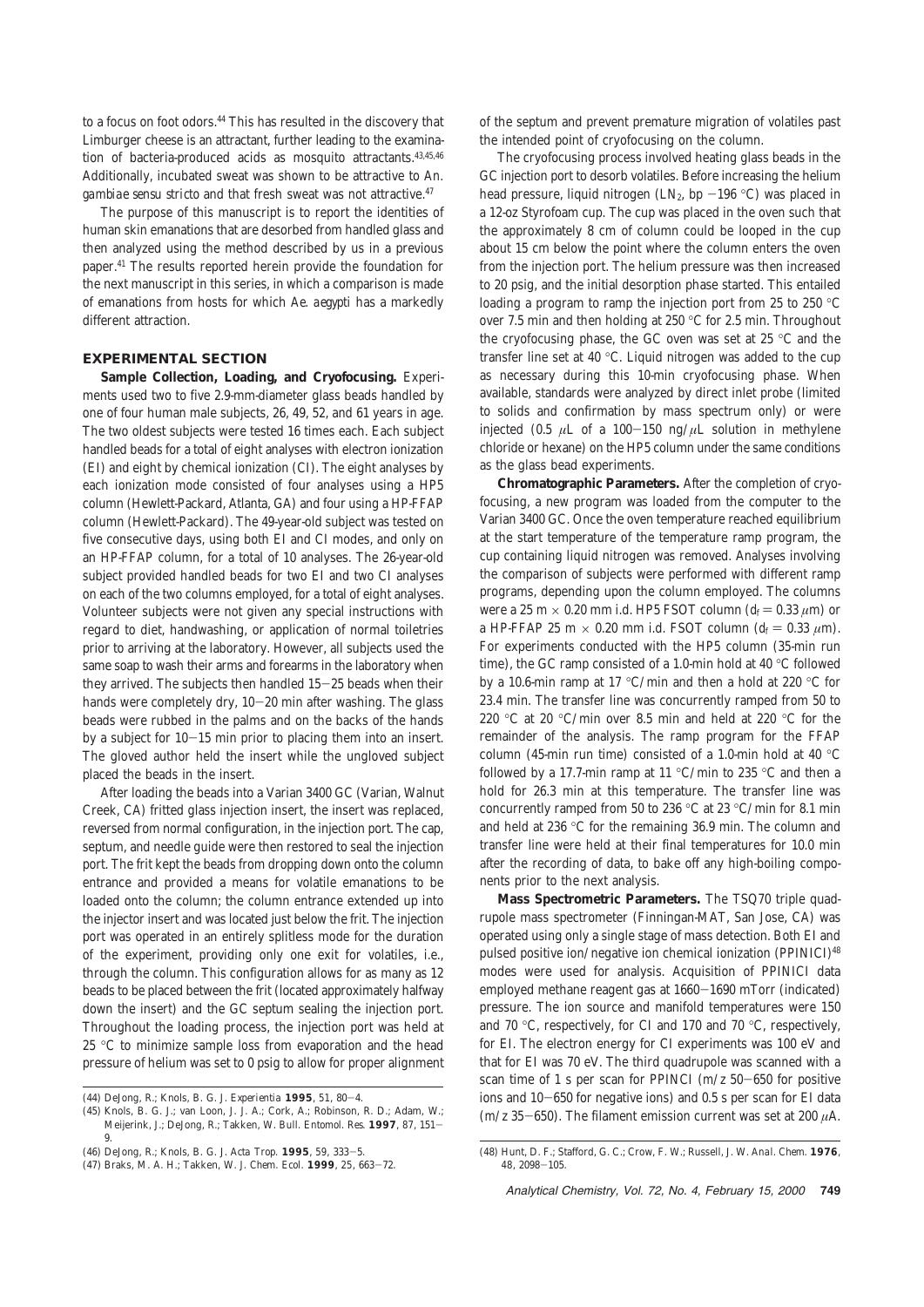to a focus on foot odors.44 This has resulted in the discovery that Limburger cheese is an attractant, further leading to the examination of bacteria-produced acids as mosquito attractants.43,45,46 Additionally, incubated sweat was shown to be attractive to *An. gambiae sensu stricto* and that fresh sweat was not attractive.47

The purpose of this manuscript is to report the identities of human skin emanations that are desorbed from handled glass and then analyzed using the method described by us in a previous paper.41 The results reported herein provide the foundation for the next manuscript in this series, in which a comparison is made of emanations from hosts for which *Ae. aegypti* has a markedly different attraction.

#### **EXPERIMENTAL SECTION**

**Sample Collection, Loading, and Cryofocusing.** Experiments used two to five 2.9-mm-diameter glass beads handled by one of four human male subjects, 26, 49, 52, and 61 years in age. The two oldest subjects were tested 16 times each. Each subject handled beads for a total of eight analyses with electron ionization (EI) and eight by chemical ionization (CI). The eight analyses by each ionization mode consisted of four analyses using a HP5 column (Hewlett-Packard, Atlanta, GA) and four using a HP-FFAP column (Hewlett-Packard). The 49-year-old subject was tested on five consecutive days, using both EI and CI modes, and only on an HP-FFAP column, for a total of 10 analyses. The 26-year-old subject provided handled beads for two EI and two CI analyses on each of the two columns employed, for a total of eight analyses. Volunteer subjects were not given any special instructions with regard to diet, handwashing, or application of normal toiletries prior to arriving at the laboratory. However, all subjects used the same soap to wash their arms and forearms in the laboratory when they arrived. The subjects then handled 15-25 beads when their hands were completely dry, 10-20 min after washing. The glass beads were rubbed in the palms and on the backs of the hands by a subject for 10-15 min prior to placing them into an insert. The gloved author held the insert while the ungloved subject placed the beads in the insert.

After loading the beads into a Varian 3400 GC (Varian, Walnut Creek, CA) fritted glass injection insert, the insert was replaced, reversed from normal configuration, in the injection port. The cap, septum, and needle guide were then restored to seal the injection port. The frit kept the beads from dropping down onto the column entrance and provided a means for volatile emanations to be loaded onto the column; the column entrance extended up into the injector insert and was located just below the frit. The injection port was operated in an entirely splitless mode for the duration of the experiment, providing only one exit for volatiles, i.e., through the column. This configuration allows for as many as 12 beads to be placed between the frit (located approximately halfway down the insert) and the GC septum sealing the injection port. Throughout the loading process, the injection port was held at 25 °C to minimize sample loss from evaporation and the head pressure of helium was set to 0 psig to allow for proper alignment of the septum and prevent premature migration of volatiles past the intended point of cryofocusing on the column.

The cryofocusing process involved heating glass beads in the GC injection port to desorb volatiles. Before increasing the helium head pressure, liquid nitrogen (LN<sub>2</sub>, bp  $-196$  °C) was placed in a 12-oz Styrofoam cup. The cup was placed in the oven such that the approximately 8 cm of column could be looped in the cup about 15 cm below the point where the column enters the oven from the injection port. The helium pressure was then increased to 20 psig, and the initial desorption phase started. This entailed loading a program to ramp the injection port from 25 to 250 °C over 7.5 min and then holding at 250 °C for 2.5 min. Throughout the cryofocusing phase, the GC oven was set at 25 °C and the transfer line set at 40 °C. Liquid nitrogen was added to the cup as necessary during this 10-min cryofocusing phase. When available, standards were analyzed by direct inlet probe (limited to solids and confirmation by mass spectrum only) or were injected (0.5  $\mu$ L of a 100-150 ng/ $\mu$ L solution in methylene chloride or hexane) on the HP5 column under the same conditions as the glass bead experiments.

**Chromatographic Parameters.** After the completion of cryofocusing, a new program was loaded from the computer to the Varian 3400 GC. Once the oven temperature reached equilibrium at the start temperature of the temperature ramp program, the cup containing liquid nitrogen was removed. Analyses involving the comparison of subjects were performed with different ramp programs, depending upon the column employed. The columns were a 25 m  $\times$  0.20 mm i.d. HP5 FSOT column ( $d_f = 0.33 \mu$ m) or a HP-FFAP 25 m  $\times$  0.20 mm i.d. FSOT column ( $d_f = 0.33 \mu$ m). For experiments conducted with the HP5 column (35-min run time), the GC ramp consisted of a 1.0-min hold at 40 °C followed by a 10.6-min ramp at 17 °C/min and then a hold at 220 °C for 23.4 min. The transfer line was concurrently ramped from 50 to 220 °C at 20 °C/min over 8.5 min and held at 220 °C for the remainder of the analysis. The ramp program for the FFAP column (45-min run time) consisted of a 1.0-min hold at 40 °C followed by a 17.7-min ramp at 11 °C/min to 235 °C and then a hold for 26.3 min at this temperature. The transfer line was concurrently ramped from 50 to 236 °C at 23 °C/min for 8.1 min and held at 236 °C for the remaining 36.9 min. The column and transfer line were held at their final temperatures for 10.0 min after the recording of data, to bake off any high-boiling components prior to the next analysis.

**Mass Spectrometric Parameters.** The TSQ70 triple quadrupole mass spectrometer (Finningan-MAT, San Jose, CA) was operated using only a single stage of mass detection. Both EI and pulsed positive ion/negative ion chemical ionization (PPINICI)48 modes were used for analysis. Acquisition of PPINICI data employed methane reagent gas at 1660-1690 mTorr (indicated) pressure. The ion source and manifold temperatures were 150 and 70 °C, respectively, for CI and 170 and 70 °C, respectively, for EI. The electron energy for CI experiments was 100 eV and that for EI was 70 eV. The third quadrupole was scanned with a scan time of 1 s per scan for PPINCI (*m*/*z* 50-650 for positive ions and 10-650 for negative ions) and 0.5 s per scan for EI data  $(m/z 35-650)$ . The filament emission current was set at 200  $\mu$ A.

<sup>(44)</sup> DeJong, R.; Knols, B. G. J. *Experientia* **1995**, *51*, 80-4.

<sup>(45)</sup> Knols, B. G. J.; van Loon, J. J. A.; Cork, A.; Robinson, R. D.; Adam, W.; Meijerink, J.; DeJong, R.; Takken, W. *Bull. Entomol. Res.* **1997**, *87*, 151- 9.

<sup>(46)</sup> DeJong, R.; Knols, B. G. J. *Acta Trop.* **1995**, *59*, 333-5.

<sup>(47)</sup> Braks, M. A. H.; Takken, W. *J. Chem. Ecol.* **1999**, *25*, 663-72.

<sup>(48)</sup> Hunt, D. F.; Stafford, G. C.; Crow, F. W.; Russell, J. W. *Anal. Chem.* **1976**, *48*, 2098-105.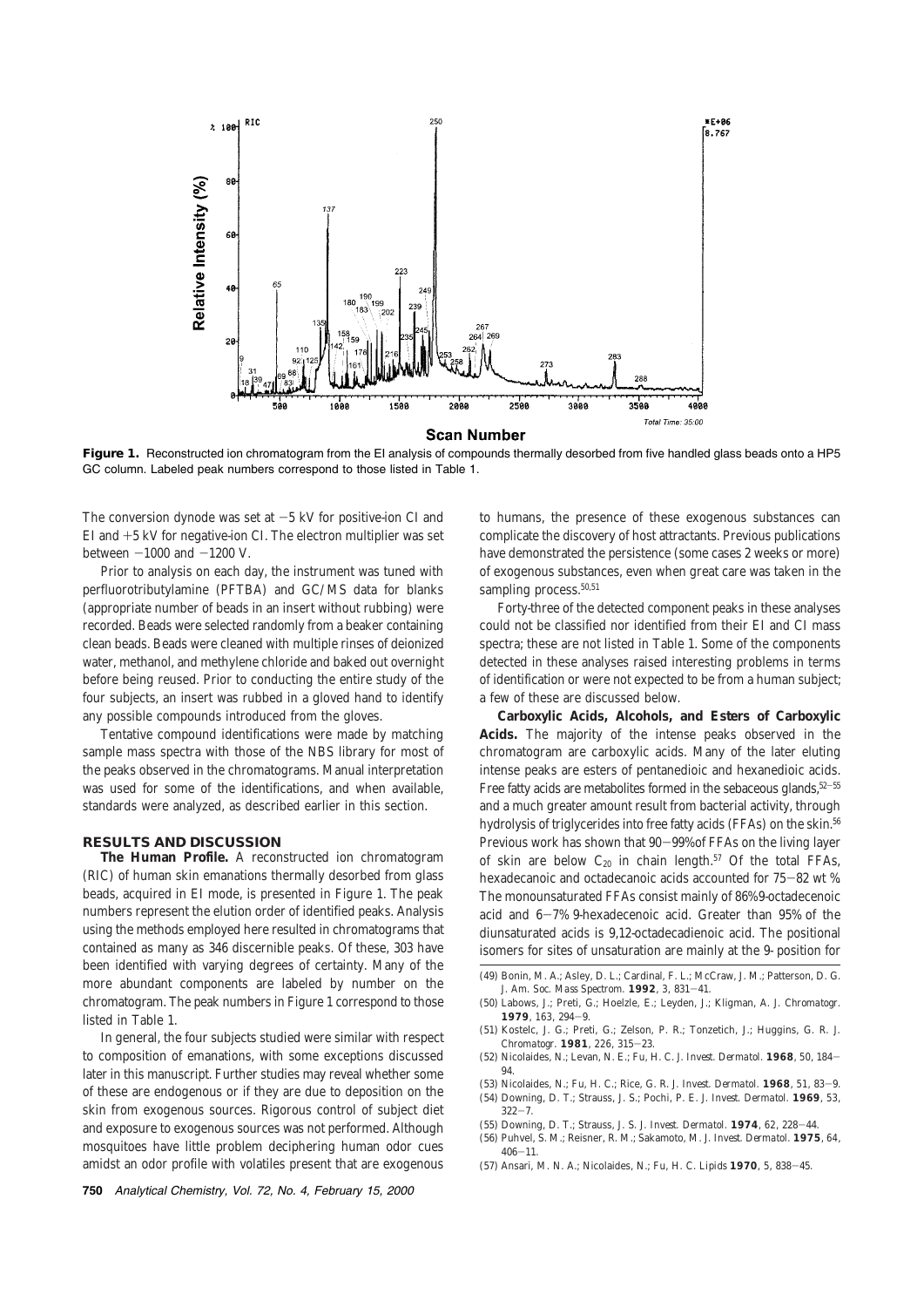

**Figure 1.** Reconstructed ion chromatogram from the EI analysis of compounds thermally desorbed from five handled glass beads onto a HP5 GC column. Labeled peak numbers correspond to those listed in Table 1.

The conversion dynode was set at  $-5$  kV for positive-ion CI and EI and  $+5$  kV for negative-ion CI. The electron multiplier was set between  $-1000$  and  $-1200$  V.

Prior to analysis on each day, the instrument was tuned with perfluorotributylamine (PFTBA) and GC/MS data for blanks (appropriate number of beads in an insert without rubbing) were recorded. Beads were selected randomly from a beaker containing clean beads. Beads were cleaned with multiple rinses of deionized water, methanol, and methylene chloride and baked out overnight before being reused. Prior to conducting the entire study of the four subjects, an insert was rubbed in a gloved hand to identify any possible compounds introduced from the gloves.

Tentative compound identifications were made by matching sample mass spectra with those of the NBS library for most of the peaks observed in the chromatograms. Manual interpretation was used for some of the identifications, and when available, standards were analyzed, as described earlier in this section.

#### **RESULTS AND DISCUSSION**

**The Human Profile.** A reconstructed ion chromatogram (RIC) of human skin emanations thermally desorbed from glass beads, acquired in EI mode, is presented in Figure 1. The peak numbers represent the elution order of identified peaks. Analysis using the methods employed here resulted in chromatograms that contained as many as 346 discernible peaks. Of these, 303 have been identified with varying degrees of certainty. Many of the more abundant components are labeled by number on the chromatogram. The peak numbers in Figure 1 correspond to those listed in Table 1.

In general, the four subjects studied were similar with respect to composition of emanations, with some exceptions discussed later in this manuscript. Further studies may reveal whether some of these are endogenous or if they are due to deposition on the skin from exogenous sources. Rigorous control of subject diet and exposure to exogenous sources was not performed. Although mosquitoes have little problem deciphering human odor cues amidst an odor profile with volatiles present that are exogenous

**750** Analytical Chemistry, Vol. 72, No. 4, February 15, 2000

to humans, the presence of these exogenous substances can complicate the discovery of host attractants. Previous publications have demonstrated the persistence (some cases 2 weeks or more) of exogenous substances, even when great care was taken in the sampling process.<sup>50,51</sup>

Forty-three of the detected component peaks in these analyses could not be classified nor identified from their EI and CI mass spectra; these are not listed in Table 1. Some of the components detected in these analyses raised interesting problems in terms of identification or were not expected to be from a human subject; a few of these are discussed below.

**Carboxylic Acids, Alcohols, and Esters of Carboxylic Acids.** The majority of the intense peaks observed in the chromatogram are carboxylic acids. Many of the later eluting intense peaks are esters of pentanedioic and hexanedioic acids. Free fatty acids are metabolites formed in the sebaceous glands,  $52-55$ and a much greater amount result from bacterial activity, through hydrolysis of triglycerides into free fatty acids (FFAs) on the skin.<sup>56</sup> Previous work has shown that 90-99% of FFAs on the living layer of skin are below  $C_{20}$  in chain length.<sup>57</sup> Of the total FFAs, hexadecanoic and octadecanoic acids accounted for 75-82 wt %. The monounsaturated FFAs consist mainly of 86% 9-octadecenoic acid and 6-7% 9-hexadecenoic acid. Greater than 95% of the diunsaturated acids is 9,12-octadecadienoic acid. The positional isomers for sites of unsaturation are mainly at the 9- position for

- (49) Bonin, M. A.; Asley, D. L.; Cardinal, F. L.; McCraw, J. M.; Patterson, D. G. *J. Am. Soc. Mass Spectrom.* **1992**, *3*, 831-41.
- (50) Labows, J.; Preti, G.; Hoelzle, E.; Leyden, J.; Kligman, A. *J. Chromatogr.* **1979**, *163*, 294-9.
- (51) Kostelc, J. G.; Preti, G.; Zelson, P. R.; Tonzetich, J.; Huggins, G. R. *J. Chromatogr.* **1981**, *226*, 315-23.
- (52) Nicolaides, N.; Levan, N. E.; Fu, H. C. *J. Invest. Dermatol.* **1968**, *50*, 184- 94.
- (53) Nicolaides, N.; Fu, H. C.; Rice, G. R. *J. Invest. Dermatol.* **1968**, *51*, 83-9. (54) Downing, D. T.; Strauss, J. S.; Pochi, P. E. *J. Invest. Dermatol.* **1969**, *53*,
- $322 7$ . (55) Downing, D. T.; Strauss, J. S. *J. Invest. Dermatol.* **1974**, *62*, 228-44.
- (56) Puhvel, S. M.; Reisner, R. M.; Sakamoto, M. *J. Invest. Dermatol.* **1975**, *64*,
- 406-11.
- (57) Ansari, M. N. A.; Nicolaides, N.; Fu, H. C. *Lipids* **1970**, *5*, 838-45.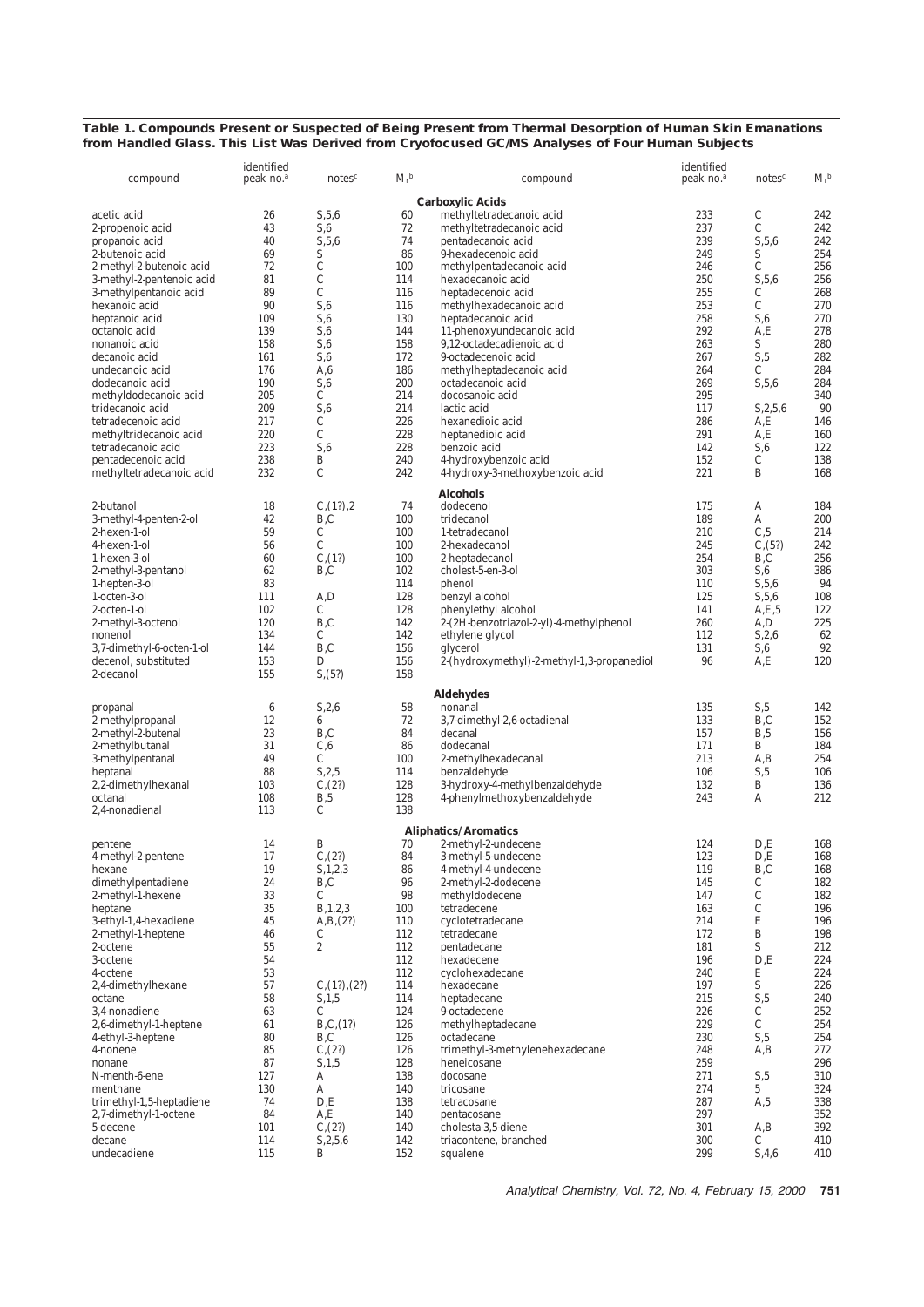### **Table 1. Compounds Present or Suspected of Being Present from Thermal Desorption of Human Skin Emanations from Handled Glass. This List Was Derived from Cryofocused GC/MS Analyses of Four Human Subjects**

| compound                                 | identified<br>peak no. <sup>a</sup> | notes <sup>c</sup>                    | $M_{\rm r}^{\ b}$ | compound                                      | identified<br>peak no. <sup>a</sup> | notes <sup>c</sup> | $M_{\rm r}^{\ b}$ |
|------------------------------------------|-------------------------------------|---------------------------------------|-------------------|-----------------------------------------------|-------------------------------------|--------------------|-------------------|
|                                          |                                     |                                       |                   | <b>Carboxylic Acids</b>                       |                                     |                    |                   |
| acetic acid                              | 26                                  | S, 5, 6                               | 60                | methyltetradecanoic acid                      | 233                                 | C                  | 242               |
| 2-propenoic acid                         | 43                                  | S,6                                   | 72                | methyltetradecanoic acid                      | 237                                 | $\mathbf C$        | 242               |
| propanoic acid                           | 40                                  | S, 5, 6                               | 74                | pentadecanoic acid                            | 239                                 | S, 5, 6            | 242               |
| 2-butenoic acid                          | 69                                  | S                                     | 86                | 9-hexadecenoic acid                           | 249                                 | S                  | 254               |
| 2-methyl-2-butenoic acid                 | 72                                  | C                                     | 100               | methylpentadecanoic acid                      | 246                                 | C                  | 256               |
| 3-methyl-2-pentenoic acid                | 81                                  | $\mathbf C$                           | 114               | hexadecanoic acid                             | 250                                 | S, 5, 6            | 256               |
| 3-methylpentanoic acid                   | 89<br>90                            | C<br>S,6                              | 116<br>116        | heptadecenoic acid                            | 255<br>253                          | C<br>$\mathbf C$   | 268<br>270        |
| hexanoic acid<br>heptanoic acid          | 109                                 | S,6                                   | 130               | methylhexadecanoic acid<br>heptadecanoic acid | 258                                 | S,6                | 270               |
| octanoic acid                            | 139                                 | S,6                                   | 144               | 11-phenoxyundecanoic acid                     | 292                                 | A,E                | 278               |
| nonanoic acid                            | 158                                 | S,6                                   | 158               | 9,12-octadecadienoic acid                     | 263                                 | S                  | 280               |
| decanoic acid                            | 161                                 | S,6                                   | 172               | 9-octadecenoic acid                           | 267                                 | S <sub>0</sub> 5   | 282               |
| undecanoic acid                          | 176                                 | A,6                                   | 186               | methylheptadecanoic acid                      | 264                                 | C                  | 284               |
| dodecanoic acid                          | 190                                 | S,6                                   | 200               | octadecanoic acid                             | 269                                 | S, 5, 6            | 284               |
| methyldodecanoic acid                    | 205                                 | C                                     | 214               | docosanoic acid                               | 295                                 |                    | 340               |
| tridecanoic acid                         | 209                                 | S,6                                   | 214               | lactic acid                                   | 117                                 | S, 2, 5, 6         | 90                |
| tetradecenoic acid                       | 217                                 | С                                     | 226               | hexanedioic acid                              | 286                                 | A,E                | 146               |
| methyltridecanoic acid                   | 220                                 | C<br>S,6                              | 228               | heptanedioic acid                             | 291                                 | A.E                | 160               |
| tetradecanoic acid<br>pentadecenoic acid | 223<br>238                          | B                                     | 228<br>240        | benzoic acid<br>4-hydroxybenzoic acid         | 142<br>152                          | S,6<br>C           | 122<br>138        |
| methyltetradecanoic acid                 | 232                                 | C                                     | 242               | 4-hydroxy-3-methoxybenzoic acid               | 221                                 | B                  | 168               |
|                                          |                                     |                                       |                   |                                               |                                     |                    |                   |
|                                          |                                     |                                       |                   | <b>Alcohols</b>                               |                                     |                    |                   |
| 2-butanol                                | 18                                  | $C_{1}(1?)_{1}$                       | 74                | dodecenol                                     | 175                                 | A                  | 184               |
| 3-methyl-4-penten-2-ol                   | 42                                  | B,C                                   | 100               | tridecanol                                    | 189                                 | A                  | 200               |
| 2-hexen-1-ol                             | 59                                  | C<br>C                                | 100               | 1-tetradecanol                                | 210<br>245                          | C, 5<br>C(5?)      | 214<br>242        |
| 4-hexen-1-ol<br>1-hexen-3-ol             | 56<br>60                            | $C_{1}(1?)$                           | 100<br>100        | 2-hexadecanol<br>2-heptadecanol               | 254                                 | B,C                | 256               |
| 2-methyl-3-pentanol                      | 62                                  | B,C                                   | 102               | cholest-5-en-3-ol                             | 303                                 | S,6                | 386               |
| 1-hepten-3-ol                            | 83                                  |                                       | 114               | phenol                                        | 110                                 | S, 5, 6            | 94                |
| 1-octen-3-ol                             | 111                                 | A,D                                   | 128               | benzyl alcohol                                | 125                                 | S, 5, 6            | 108               |
| 2-octen-1-ol                             | 102                                 | С                                     | 128               | phenylethyl alcohol                           | 141                                 | A, E, 5            | 122               |
| 2-methyl-3-octenol                       | 120                                 | B,C                                   | 142               | 2-(2H-benzotriazol-2-yl)-4-methylphenol       | 260                                 | A,D                | 225               |
| nonenol                                  | 134                                 | С                                     | 142               | ethylene glycol                               | 112                                 | S,2,6              | 62                |
| 3,7-dimethyl-6-octen-1-ol                | 144                                 | B,C                                   | 156               | glycerol                                      | 131                                 | S,6                | 92                |
| decenol, substituted                     | 153                                 | D                                     | 156               | 2-(hydroxymethyl)-2-methyl-1,3-propanediol    | 96                                  | A,E                | 120               |
| 2-decanol                                | 155                                 | S(5?)                                 | 158               |                                               |                                     |                    |                   |
|                                          |                                     |                                       |                   | <b>Aldehydes</b>                              |                                     |                    |                   |
| propanal                                 | 6                                   | S, 2, 6                               | 58                | nonanal                                       | 135                                 | S, 5               | 142               |
| 2-methylpropanal                         | 12                                  | 6                                     | 72                | 3,7-dimethyl-2,6-octadienal                   | 133                                 | B,C                | 152               |
| 2-methyl-2-butenal                       | 23                                  | B,C                                   | 84                | decanal                                       | 157                                 | B,5                | 156               |
| 2-methylbutanal                          | 31                                  | C, 6                                  | 86                | dodecanal                                     | 171                                 | B                  | 184               |
| 3-methylpentanal                         | 49                                  | C                                     | 100               | 2-methylhexadecanal                           | 213                                 | A,B                | 254               |
| heptanal                                 | 88                                  | S, 2, 5                               | 114               | benzaldehyde                                  | 106                                 | $S0$ ,5            | 106               |
| 2,2-dimethylhexanal<br>octanal           | 103<br>108                          | C <sub>2</sub> (2?)                   | 128<br>128        | 3-hydroxy-4-methylbenzaldehyde                | 132<br>243                          | B<br>A             | 136<br>212        |
| 2,4-nonadienal                           | 113                                 | B,5<br>C                              | 138               | 4-phenylmethoxybenzaldehyde                   |                                     |                    |                   |
|                                          |                                     |                                       |                   |                                               |                                     |                    |                   |
|                                          |                                     |                                       |                   | <b>Aliphatics/Aromatics</b>                   |                                     |                    |                   |
| pentene                                  | 14                                  | B                                     | 70                | 2-methyl-2-undecene                           | 124                                 | D.E                | 168               |
| 4-methyl-2-pentene                       | 17<br>19                            | $C_{1}(2?)$                           | 84<br>86          | 3-methyl-5-undecene<br>4-methyl-4-undecene    | 123                                 | D,E<br>B,C         | 168<br>168        |
| hexane<br>dimethylpentadiene             | 24                                  | S, 1, 2, 3<br>B,C                     | 96                | 2-methyl-2-dodecene                           | 119<br>145                          | C                  | 182               |
| 2-methyl-1-hexene                        | 33                                  | C                                     | 98                | methyldodecene                                | 147                                 | C                  | 182               |
| heptane                                  | 35                                  | B, 1, 2, 3                            | 100               | tetradecene                                   | 163                                 | C                  | 196               |
| 3-ethyl-1,4-hexadiene                    | 45                                  | A, B, (2?)                            | 110               | cyclotetradecane                              | 214                                 | E                  | 196               |
| 2-methyl-1-heptene                       | 46                                  | C                                     | 112               | tetradecane                                   | 172                                 | B                  | 198               |
| 2-octene                                 | 55                                  | $\boldsymbol{2}$                      | 112               | pentadecane                                   | 181                                 | S                  | 212               |
| 3-octene                                 | 54                                  |                                       | 112               | hexadecene                                    | 196                                 | D.E                | 224               |
| 4-octene                                 | 53                                  |                                       | 112               | cyclohexadecane                               | 240                                 | Ε                  | 224               |
| 2,4-dimethylhexane                       | 57                                  | C <sub>1</sub> (1?) <sub>1</sub> (2?) | 114               | hexadecane                                    | 197                                 | S                  | 226               |
| octane                                   | 58                                  | S, 1, 5                               | 114               | heptadecane                                   | 215                                 | S, 5               | 240               |
| 3,4-nonadiene<br>2,6-dimethyl-1-heptene  | 63<br>61                            | С<br>B, C, (1?)                       | 124<br>126        | 9-octadecene<br>methylheptadecane             | 226<br>229                          | C<br>$\mathbf C$   | 252<br>254        |
| 4-ethyl-3-heptene                        | 80                                  | B,C                                   | 126               | octadecane                                    | 230                                 | S, 5               | 254               |
| 4-nonene                                 | 85                                  | $C_{1}(2?)$                           | 126               | trimethyl-3-methylenehexadecane               | 248                                 | A,B                | 272               |
| nonane                                   | 87                                  | S, 1, 5                               | 128               | heneicosane                                   | 259                                 |                    | 296               |
| N-menth-6-ene                            | 127                                 | A                                     | 138               | docosane                                      | 271                                 | S, 5               | 310               |
| menthane                                 | 130                                 | A                                     | 140               | tricosane                                     | 274                                 | $5\overline{ }$    | 324               |
| trimethyl-1,5-heptadiene                 | 74                                  | D,E                                   | 138               | tetracosane                                   | 287                                 | A,5                | 338               |
| 2,7-dimethyl-1-octene                    | 84                                  | A, E                                  | 140               | pentacosane                                   | 297                                 |                    | 352               |
| 5-decene                                 | 101                                 | $C_{1}(2?)$                           | 140               | cholesta-3,5-diene                            | 301                                 | A,B                | 392               |
| decane                                   | 114                                 | S, 2, 5, 6                            | 142               | triacontene, branched                         | 300                                 | C                  | 410               |
| undecadiene                              | 115                                 | B                                     | 152               | squalene                                      | 299                                 | $\text{S}, 4, 6$   | 410               |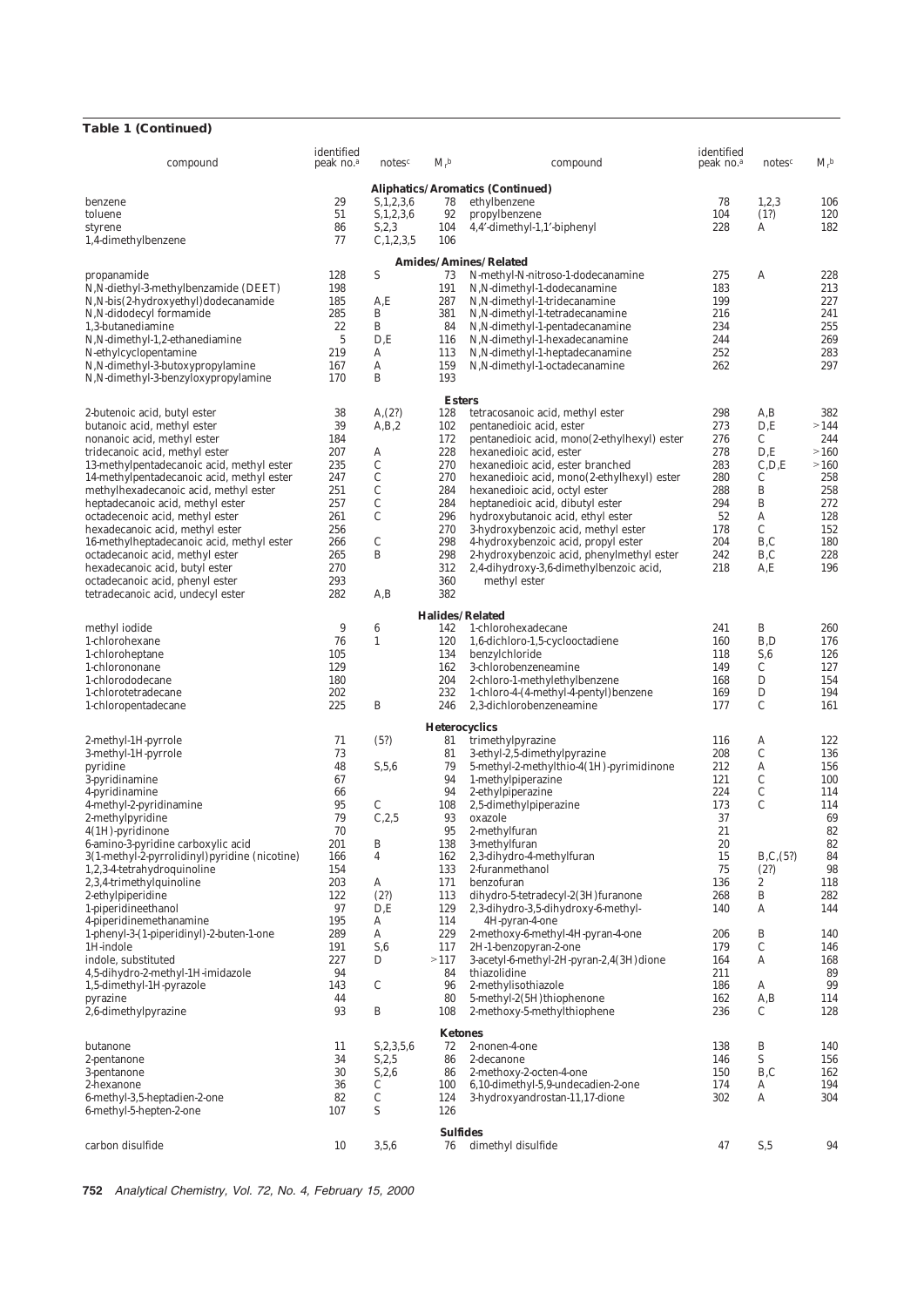## **Table 1 (Continued)**

| compound                                                          | identified<br>peak no. $a$ | notes <sup>c</sup>      | $M_{\rm r}$ <sup>b</sup> | compound                                                                     | identified<br>peak no. <sup>a</sup> | notes <sup>c</sup> | $M_{\rm r}$ <sup>b</sup> |  |  |  |  |
|-------------------------------------------------------------------|----------------------------|-------------------------|--------------------------|------------------------------------------------------------------------------|-------------------------------------|--------------------|--------------------------|--|--|--|--|
| <b>Aliphatics/Aromatics (Continued)</b>                           |                            |                         |                          |                                                                              |                                     |                    |                          |  |  |  |  |
| benzene                                                           | 29                         | S, 1, 2, 3, 6           | 78                       | ethylbenzene                                                                 | 78                                  | 1, 2, 3            | 106                      |  |  |  |  |
| toluene                                                           | 51                         | S, 1, 2, 3, 6           | 92                       | propylbenzene                                                                | 104                                 | (1?)               | 120                      |  |  |  |  |
| styrene                                                           | 86                         | S, 2, 3                 | 104                      | 4,4'-dimethyl-1,1'-biphenyl                                                  | 228                                 | A                  | 182                      |  |  |  |  |
| 1,4-dimethylbenzene                                               | 77                         | C, 1, 2, 3, 5           | 106                      |                                                                              |                                     |                    |                          |  |  |  |  |
|                                                                   |                            |                         |                          | <b>Amides/Amines/Related</b>                                                 |                                     |                    |                          |  |  |  |  |
| propanamide                                                       | 128                        | S                       | 73                       | N-methyl-N-nitroso-1-dodecanamine                                            | 275                                 | A                  | 228                      |  |  |  |  |
| N, N-diethyl-3-methylbenzamide (DEET)                             | 198                        |                         | 191                      | N, N-dimethyl-1-dodecanamine                                                 | 183                                 |                    | 213                      |  |  |  |  |
| N, N-bis(2-hydroxyethyl)dodecanamide<br>N,N-didodecyl formamide   | 185                        | A,E<br>B                | 287                      | N, N-dimethyl-1-tridecanamine                                                | 199                                 |                    | 227<br>241               |  |  |  |  |
| 1,3-butanediamine                                                 | 285<br>22                  | B                       | 381<br>84                | $N, N$ -dimethyl-1-tetradecanamine<br>N, N-dimethyl-1-pentadecanamine        | 216<br>234                          |                    | 255                      |  |  |  |  |
|                                                                   | $\mathbf 5$                | D.E                     | 116                      |                                                                              | 244                                 |                    | 269                      |  |  |  |  |
| N, N-dimethyl-1, 2-ethanediamine<br><i>N</i> -ethylcyclopentamine | 219                        | A                       | 113                      | N, N-dimethyl-1-hexadecanamine<br>N, N-dimethyl-1-heptadecanamine            | 252                                 |                    | 283                      |  |  |  |  |
| N, N-dimethyl-3-butoxypropylamine                                 | 167                        | A                       | 159                      | N, N-dimethyl-1-octadecanamine                                               | 262                                 |                    | 297                      |  |  |  |  |
| N, N-dimethyl-3-benzyloxypropylamine                              | 170                        | B                       | 193                      |                                                                              |                                     |                    |                          |  |  |  |  |
|                                                                   |                            |                         | <b>Esters</b>            |                                                                              |                                     |                    |                          |  |  |  |  |
| 2-butenoic acid, butyl ester                                      | 38                         | A, (2?)                 | 128                      | tetracosanoic acid, methyl ester                                             | 298                                 | A,B                | 382                      |  |  |  |  |
| butanoic acid, methyl ester                                       | 39                         | A,B,2                   | 102                      | pentanedioic acid, ester                                                     | 273                                 | D.E                | >144                     |  |  |  |  |
| nonanoic acid, methyl ester                                       | 184                        |                         | 172                      | pentanedioic acid, mono(2-ethylhexyl) ester                                  | 276                                 | C                  | 244                      |  |  |  |  |
| tridecanoic acid, methyl ester                                    | 207                        | A                       | 228                      | hexanedioic acid, ester                                                      | 278                                 | D.E                | >160                     |  |  |  |  |
| 13-methylpentadecanoic acid, methyl ester                         | 235                        | $\mathbf C$             | 270                      | hexanedioic acid, ester branched                                             | 283                                 | C.D.E              | >160                     |  |  |  |  |
| 14-methylpentadecanoic acid, methyl ester                         | 247                        | C                       | 270                      | hexanedioic acid, mono(2-ethylhexyl) ester                                   | 280                                 | С                  | 258                      |  |  |  |  |
| methylhexadecanoic acid, methyl ester                             | 251                        | $\mathcal{C}$           | 284                      | hexanedioic acid, octyl ester                                                | 288                                 | B                  | 258                      |  |  |  |  |
| heptadecanoic acid, methyl ester                                  | 257                        | C                       | 284                      | heptanedioic acid, dibutyl ester                                             | 294                                 | B                  | 272                      |  |  |  |  |
| octadecenoic acid, methyl ester                                   | 261                        | C                       | 296                      | hydroxybutanoic acid, ethyl ester                                            | 52                                  | A                  | 128                      |  |  |  |  |
| hexadecanoic acid, methyl ester                                   | 256                        |                         | 270                      | 3-hydroxybenzoic acid, methyl ester                                          | 178                                 | C                  | 152                      |  |  |  |  |
| 16-methylheptadecanoic acid, methyl ester                         | 266                        | C                       | 298                      | 4-hydroxybenzoic acid, propyl ester                                          | 204                                 | B,C                | 180                      |  |  |  |  |
| octadecanoic acid, methyl ester                                   | 265                        | B                       | 298                      | 2-hydroxybenzoic acid, phenylmethyl ester                                    | 242                                 | B,C                | 228                      |  |  |  |  |
| hexadecanoic acid, butyl ester                                    | 270                        |                         | 312                      | 2,4-dihydroxy-3,6-dimethylbenzoic acid,                                      | 218                                 | A,E                | 196                      |  |  |  |  |
| octadecanoic acid, phenyl ester                                   | 293                        |                         | 360                      | methyl ester                                                                 |                                     |                    |                          |  |  |  |  |
| tetradecanoic acid, undecyl ester                                 | 282                        | A,B                     | 382                      |                                                                              |                                     |                    |                          |  |  |  |  |
|                                                                   |                            |                         |                          | <b>Halides/Related</b>                                                       |                                     |                    |                          |  |  |  |  |
| methyl iodide                                                     | 9                          | 6                       | 142                      | 1-chlorohexadecane                                                           | 241                                 | B                  | 260                      |  |  |  |  |
| 1-chlorohexane                                                    | 76                         | $\mathbf{1}$            | 120                      | 1,6-dichloro-1,5-cyclooctadiene                                              | 160                                 | B,D                | 176                      |  |  |  |  |
| 1-chloroheptane                                                   | 105                        |                         | 134                      | benzylchloride                                                               | 118                                 | S,6                | 126                      |  |  |  |  |
| 1-chlorononane                                                    | 129                        |                         | 162                      | 3-chlorobenzeneamine                                                         | 149                                 | C                  | 127                      |  |  |  |  |
| 1-chlorododecane                                                  | 180                        |                         | 204                      | 2-chloro-1-methylethylbenzene                                                | 168                                 | D                  | 154                      |  |  |  |  |
| 1-chlorotetradecane<br>1-chloropentadecane                        | 202<br>225                 | B                       | 232<br>246               | 1-chloro-4-(4-methyl-4-pentyl) benzene<br>2,3-dichlorobenzeneamine           | 169<br>177                          | D<br>C             | 194<br>161               |  |  |  |  |
|                                                                   |                            |                         |                          |                                                                              |                                     |                    |                          |  |  |  |  |
|                                                                   |                            |                         | <b>Heterocyclics</b>     |                                                                              |                                     |                    |                          |  |  |  |  |
| 2-methyl-1 <i>H</i> -pyrrole                                      | 71                         | (5?)                    | 81                       | trimethylpyrazine                                                            | 116                                 | A                  | 122                      |  |  |  |  |
| 3-methyl-1 <i>H</i> -pyrrole<br>pyridine                          | 73<br>48                   | S, 5, 6                 | 81<br>79                 | 3-ethyl-2,5-dimethylpyrazine<br>5-methyl-2-methylthio-4 $(1H)$ -pyrimidinone | 208<br>212                          | C<br>A             | 136<br>156               |  |  |  |  |
| 3-pyridinamine                                                    | 67                         |                         | 94                       | 1-methylpiperazine                                                           | 121                                 | C                  | 100                      |  |  |  |  |
| 4-pyridinamine                                                    | 66                         |                         | 94                       | 2-ethylpiperazine                                                            | 224                                 | C                  | 114                      |  |  |  |  |
| 4-methyl-2-pyridinamine                                           | 95                         | C                       | 108                      | 2,5-dimethylpiperazine                                                       | 173                                 | $\mathcal{C}$      | 114                      |  |  |  |  |
| 2-methylpyridine                                                  | 79                         | C, 2, 5                 | 93                       | oxazole                                                                      | 37                                  |                    | 69                       |  |  |  |  |
| $4(1H)$ -pyridinone                                               | 70                         |                         | 95                       | 2-methylfuran                                                                | 21                                  |                    | 82                       |  |  |  |  |
| 6-amino-3-pyridine carboxylic acid                                | 201                        | B                       | 138                      | 3-methylfuran                                                                | 20                                  |                    | 82                       |  |  |  |  |
| 3(1-methyl-2-pyrrolidinyl) pyridine (nicotine)                    | 166                        | $\overline{\mathbf{4}}$ | 162                      | 2,3-dihydro-4-methylfuran                                                    | 15                                  | B, C, (5?)         | 84                       |  |  |  |  |
| 1,2,3-4-tetrahydroquinoline                                       | 154                        |                         | 133                      | 2-furanmethanol                                                              | 75                                  | (2?)               | 98                       |  |  |  |  |
| 2,3,4-trimethylquinoline                                          | 203                        | A                       | 171                      | benzofuran                                                                   | 136                                 | $\boldsymbol{2}$   | 118                      |  |  |  |  |
| 2-ethylpiperidine                                                 | 122                        | (2?)                    | 113                      | dihydro-5-tetradecyl-2(3H) furanone                                          | 268                                 | B                  | 282                      |  |  |  |  |
| 1-piperidineethanol                                               | 97                         | D.E                     | 129                      | 2,3-dihydro-3,5-dihydroxy-6-methyl-                                          | 140                                 | A                  | 144                      |  |  |  |  |
| 4-piperidinemethanamine                                           | 195                        | A                       | 114                      | 4H-pyran-4-one                                                               |                                     |                    |                          |  |  |  |  |
| 1-phenyl-3-(1-piperidinyl)-2-buten-1-one                          | 289                        | A                       | 229                      | 2-methoxy-6-methyl-4H-pyran-4-one                                            | 206                                 | B<br>C             | 140                      |  |  |  |  |
| $1H$ -indole<br>indole, substituted                               | 191<br>227                 | S,6<br>D                | 117<br>>117              | 2H-1-benzopyran-2-one                                                        | 179<br>164                          | A                  | 146<br>168               |  |  |  |  |
| 4,5-dihydro-2-methyl-1H-imidazole                                 | 94                         |                         | 84                       | 3-acetyl-6-methyl-2 <i>H</i> -pyran-2,4(3 <i>H</i> ) dione<br>thiazolidine   | 211                                 |                    | 89                       |  |  |  |  |
| 1,5-dimethyl-1 $H$ -pyrazole                                      | 143                        | C                       | 96                       | 2-methylisothiazole                                                          | 186                                 | A                  | 99                       |  |  |  |  |
| pyrazine                                                          | 44                         |                         | 80                       | 5-methyl-2 $(5H)$ thiophenone                                                | 162                                 | A,B                | 114                      |  |  |  |  |
| 2,6-dimethylpyrazine                                              | 93                         | B                       | 108                      | 2-methoxy-5-methylthiophene                                                  | 236                                 | C                  | 128                      |  |  |  |  |
|                                                                   |                            |                         | <b>Ketones</b>           |                                                                              |                                     |                    |                          |  |  |  |  |
| butanone                                                          | 11                         | S, 2, 3, 5, 6           | 72                       | 2-nonen-4-one                                                                | 138                                 | B                  | 140                      |  |  |  |  |
| 2-pentanone                                                       | 34                         | S, 2, 5                 | 86                       | 2-decanone                                                                   | 146                                 | S                  | 156                      |  |  |  |  |
| 3-pentanone                                                       | 30                         | S, 2, 6                 | 86                       | 2-methoxy-2-octen-4-one                                                      | 150                                 | B,C                | 162                      |  |  |  |  |
| 2-hexanone                                                        | 36                         | С                       | 100                      | 6,10-dimethyl-5,9-undecadien-2-one                                           | 174                                 | A                  | 194                      |  |  |  |  |
| 6-methyl-3,5-heptadien-2-one                                      | 82                         | C                       | 124                      | 3-hydroxyandrostan-11,17-dione                                               | 302                                 | A                  | 304                      |  |  |  |  |
| 6-methyl-5-hepten-2-one                                           | 107                        | S                       | 126                      |                                                                              |                                     |                    |                          |  |  |  |  |
| <b>Sulfides</b>                                                   |                            |                         |                          |                                                                              |                                     |                    |                          |  |  |  |  |
| carbon disulfide                                                  | 10                         | 3,5,6                   | 76                       | dimethyl disulfide                                                           | 47                                  | S, 5               | 94                       |  |  |  |  |
|                                                                   |                            |                         |                          |                                                                              |                                     |                    |                          |  |  |  |  |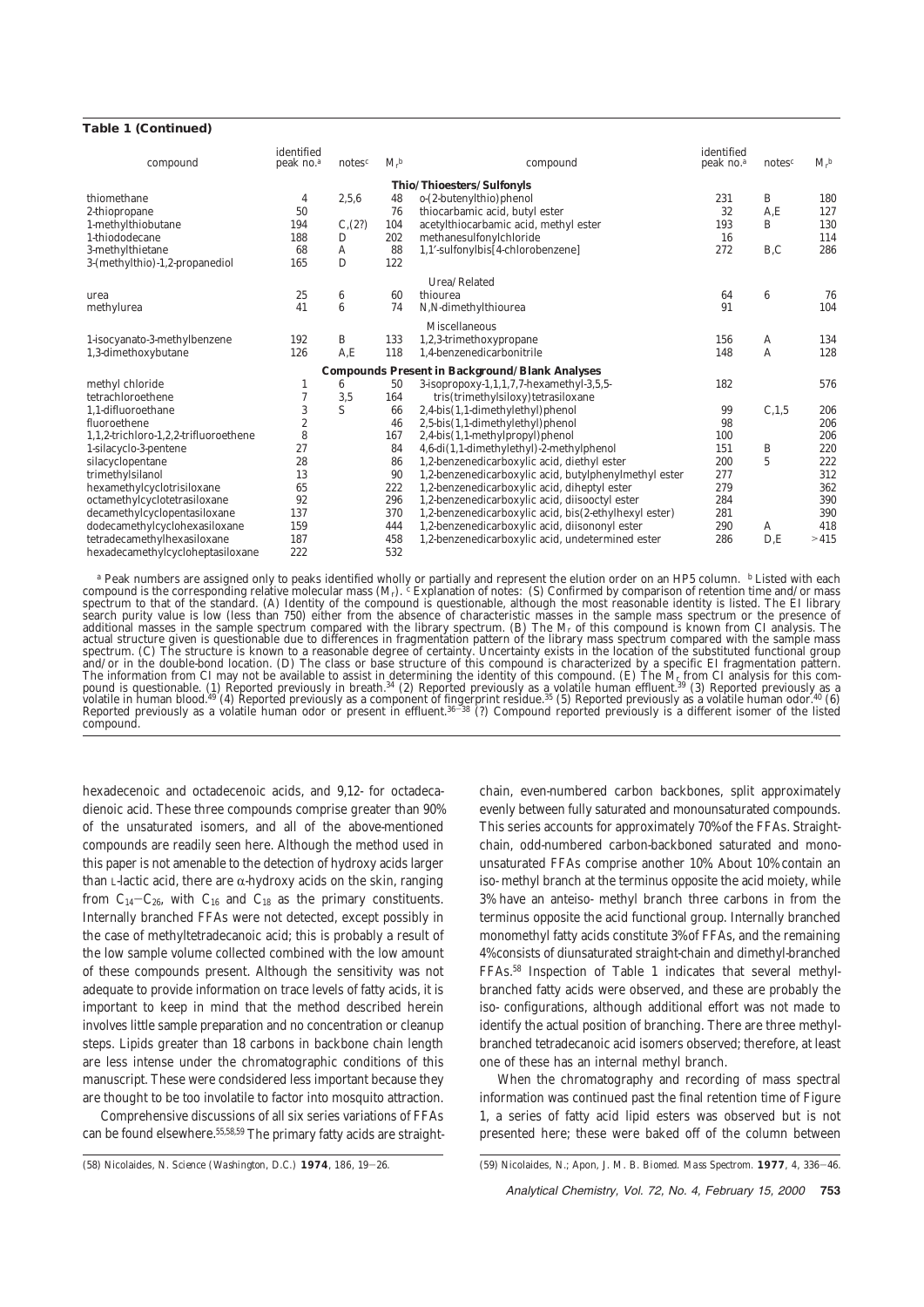#### **Table 1 (Continued)**

| compound                                              | identified<br>peak no. <sup>a</sup> | notes $c$ | $M_{\rm r}$ <sup>b</sup> | compound                                              | identified<br>peak no. <sup>a</sup> | notes $c$       | $M_r^b$ |  |  |  |
|-------------------------------------------------------|-------------------------------------|-----------|--------------------------|-------------------------------------------------------|-------------------------------------|-----------------|---------|--|--|--|
| Thio/Thioesters/Sulfonyls                             |                                     |           |                          |                                                       |                                     |                 |         |  |  |  |
| thiomethane                                           | 4                                   | 2,5,6     | 48                       | $o$ -(2-butenylthio) phenol                           | 231                                 | B               | 180     |  |  |  |
| 2-thiopropane                                         | 50                                  |           | 76                       | thiocarbamic acid, butyl ester                        | 32                                  | A, E            | 127     |  |  |  |
| 1-methylthiobutane                                    | 194                                 | C(2?)     | 104                      | acetylthiocarbamic acid, methyl ester                 | 193                                 | B               | 130     |  |  |  |
| 1-thiododecane                                        | 188                                 | D         | 202                      | methanesulfonylchloride                               | 16                                  |                 | 114     |  |  |  |
| 3-methylthietane                                      | 68                                  | A         | 88                       | 1,1'-sulfonylbis[4-chlorobenzene]                     | 272                                 | B,C             | 286     |  |  |  |
| 3-(methylthio)-1,2-propanediol                        | 165                                 | D         | 122                      |                                                       |                                     |                 |         |  |  |  |
|                                                       |                                     |           |                          | Urea/Related                                          |                                     |                 |         |  |  |  |
| urea                                                  | 25                                  | 6         | 60                       | thiourea                                              | 64                                  | $6\phantom{1}6$ | 76      |  |  |  |
| methylurea                                            | 41                                  | 6         | 74                       | N,N-dimethylthiourea                                  | 91                                  |                 | 104     |  |  |  |
|                                                       |                                     |           |                          | <b>Miscellaneous</b>                                  |                                     |                 |         |  |  |  |
| 1-isocyanato-3-methylbenzene                          | 192                                 | B         | 133                      | 1,2,3-trimethoxypropane                               | 156                                 | A               | 134     |  |  |  |
| 1,3-dimethoxybutane                                   | 126                                 | A, E      | 118                      | 1.4-benzenedicarbonitrile                             | 148                                 | A               | 128     |  |  |  |
| <b>Compounds Present in Background/Blank Analyses</b> |                                     |           |                          |                                                       |                                     |                 |         |  |  |  |
| methyl chloride                                       | 1                                   | 6         | 50                       | 3-isopropoxy-1,1,1,7,7-hexamethyl-3,5,5-              | 182                                 |                 | 576     |  |  |  |
| tetrachloroethene                                     | 7                                   | 3,5       | 164                      | tris(trimethylsiloxy)tetrasiloxane                    |                                     |                 |         |  |  |  |
| 1.1-difluoroethane                                    | $\sqrt{3}$                          | S         | 66                       | 2,4-bis(1,1-dimethylethyl)phenol                      | 99                                  | C, 1, 5         | 206     |  |  |  |
| fluoroethene                                          | $\boldsymbol{2}$                    |           | 46                       | $2,5-bis(1,1-dimethylethyl)$ phenol                   | 98                                  |                 | 206     |  |  |  |
| 1,1,2-trichloro-1,2,2-trifluoroethene                 | 8                                   |           | 167                      | 2,4-bis(1,1-methylpropyl)phenol                       | 100                                 |                 | 206     |  |  |  |
| 1-silacyclo-3-pentene                                 | 27                                  |           | 84                       | 4,6-di(1,1-dimethylethyl)-2-methylphenol              | 151                                 | B               | 220     |  |  |  |
| silacyclopentane                                      | 28                                  |           | 86                       | 1,2-benzenedicarboxylic acid, diethyl ester           | 200                                 | 5               | 222     |  |  |  |
| trimethylsilanol                                      | 13                                  |           | 90                       | 1,2-benzenedicarboxylic acid, butylphenylmethyl ester | 277                                 |                 | 312     |  |  |  |
| hexamethylcyclotrisiloxane                            | 65                                  |           | 222                      | 1,2-benzenedicarboxylic acid, diheptyl ester          | 279                                 |                 | 362     |  |  |  |
| octamethylcyclotetrasiloxane                          | 92                                  |           | 296                      | 1,2-benzenedicarboxylic acid, diisooctyl ester        | 284                                 |                 | 390     |  |  |  |
| decamethylcyclopentasiloxane                          | 137                                 |           | 370                      | 1,2-benzenedicarboxylic acid, bis(2-ethylhexyl ester) | 281                                 |                 | 390     |  |  |  |
| dodecamethylcyclohexasiloxane                         | 159                                 |           | 444                      | 1,2-benzenedicarboxylic acid, diisononyl ester        | 290                                 | A               | 418     |  |  |  |
| tetradecamethylhexasiloxane                           | 187                                 |           | 458                      | 1,2-benzenedicarboxylic acid, undetermined ester      | 286                                 | D.E             | >415    |  |  |  |
| hexadecamethylcycloheptasiloxane                      | 222                                 |           | 532                      |                                                       |                                     |                 |         |  |  |  |

<sup>a</sup> Peak numbers are assigned only to peaks identified wholly or partially and represent the elution order on an HP5 column. <sup>b</sup> Listed with each compound is the corresponding relative molecular mass  $(M_r)$ . <sup>c</sup> Explanatio additional masses in the sample spectrum compared with the library spectrum. (B) The  $M_r$  of this compound is known from CI analysis. The actual structure given is questionable due to differences in fragmentation pattern and/or in the double-bond location. (D) The class or base structure of this compound is characterized by a specific EI fragmentation pattern.<br>The information from CI may not be available to assist in determining the ident compound.

hexadecenoic and octadecenoic acids, and 9,12- for octadecadienoic acid. These three compounds comprise greater than 90% of the unsaturated isomers, and all of the above-mentioned compounds are readily seen here. Although the method used in this paper is not amenable to the detection of hydroxy acids larger than L-lactic acid, there are  $\alpha$ -hydroxy acids on the skin, ranging from  $C_{14}-C_{26}$ , with  $C_{16}$  and  $C_{18}$  as the primary constituents. Internally branched FFAs were not detected, except possibly in the case of methyltetradecanoic acid; this is probably a result of the low sample volume collected combined with the low amount of these compounds present. Although the sensitivity was not adequate to provide information on trace levels of fatty acids, it is important to keep in mind that the method described herein involves little sample preparation and no concentration or cleanup steps. Lipids greater than 18 carbons in backbone chain length are less intense under the chromatographic conditions of this manuscript. These were condsidered less important because they are thought to be too involatile to factor into mosquito attraction.

Comprehensive discussions of all six series variations of FFAs can be found elsewhere.55,58,59 The primary fatty acids are straight-

chain, even-numbered carbon backbones, split approximately evenly between fully saturated and monounsaturated compounds. This series accounts for approximately 70% of the FFAs. Straightchain, odd-numbered carbon-backboned saturated and monounsaturated FFAs comprise another 10%. About 10% contain an iso- methyl branch at the terminus opposite the acid moiety, while 3% have an anteiso- methyl branch three carbons in from the terminus opposite the acid functional group. Internally branched monomethyl fatty acids constitute 3% of FFAs, and the remaining 4% consists of diunsaturated straight-chain and dimethyl-branched FFAs.58 Inspection of Table 1 indicates that several methylbranched fatty acids were observed, and these are probably the iso- configurations, although additional effort was not made to identify the actual position of branching. There are three methylbranched tetradecanoic acid isomers observed; therefore, at least one of these has an internal methyl branch.

When the chromatography and recording of mass spectral information was continued past the final retention time of Figure 1, a series of fatty acid lipid esters was observed but is not presented here; these were baked off of the column between

Analytical Chemistry, Vol. 72, No. 4, February 15, 2000 **753**

<sup>(58)</sup> Nicolaides, N. *Science (Washington, D.C.)* **1974**, *186*, 19-26. (59) Nicolaides, N.; Apon, J. M. B. *Biomed. Mass Spectrom.* **1977**, *4*, 336-46.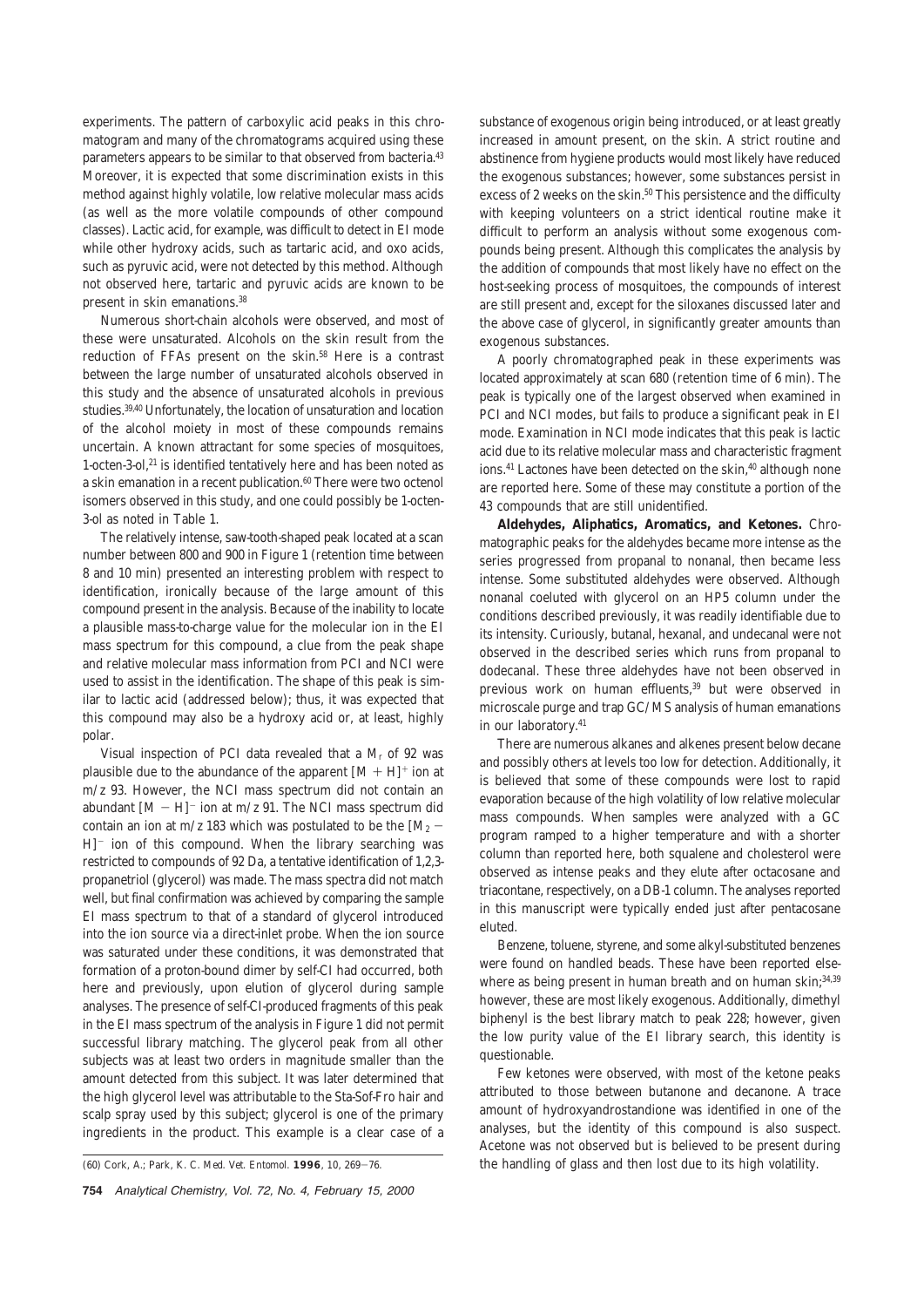experiments. The pattern of carboxylic acid peaks in this chromatogram and many of the chromatograms acquired using these parameters appears to be similar to that observed from bacteria.<sup>43</sup> Moreover, it is expected that some discrimination exists in this method against highly volatile, low relative molecular mass acids (as well as the more volatile compounds of other compound classes). Lactic acid, for example, was difficult to detect in EI mode while other hydroxy acids, such as tartaric acid, and oxo acids, such as pyruvic acid, were not detected by this method. Although not observed here, tartaric and pyruvic acids are known to be present in skin emanations.38

Numerous short-chain alcohols were observed, and most of these were unsaturated. Alcohols on the skin result from the reduction of FFAs present on the skin.58 Here is a contrast between the large number of unsaturated alcohols observed in this study and the absence of unsaturated alcohols in previous studies.39,40 Unfortunately, the location of unsaturation and location of the alcohol moiety in most of these compounds remains uncertain. A known attractant for some species of mosquitoes, 1-octen-3-ol,21 is identified tentatively here and has been noted as a skin emanation in a recent publication.<sup>60</sup> There were two octenol isomers observed in this study, and one could possibly be 1-octen-3-ol as noted in Table 1.

The relatively intense, saw-tooth-shaped peak located at a scan number between 800 and 900 in Figure 1 (retention time between 8 and 10 min) presented an interesting problem with respect to identification, ironically because of the large amount of this compound present in the analysis. Because of the inability to locate a plausible mass-to-charge value for the molecular ion in the EI mass spectrum for this compound, a clue from the peak shape and relative molecular mass information from PCI and NCI were used to assist in the identification. The shape of this peak is similar to lactic acid (addressed below); thus, it was expected that this compound may also be a hydroxy acid or, at least, highly polar.

Visual inspection of PCI data revealed that a *M*<sup>r</sup> of 92 was plausible due to the abundance of the apparent  $[M + H]^+$  ion at *m*/*z* 93. However, the NCI mass spectrum did not contain an abundant  $[M - H]$ <sup>-</sup> ion at  $m/z$  91. The NCI mass spectrum did contain an ion at  $m/z$  183 which was postulated to be the  $[M_2 -]$  $H$ <sup>-</sup> ion of this compound. When the library searching was restricted to compounds of 92 Da, a tentative identification of 1,2,3 propanetriol (glycerol) was made. The mass spectra did not match well, but final confirmation was achieved by comparing the sample EI mass spectrum to that of a standard of glycerol introduced into the ion source via a direct-inlet probe. When the ion source was saturated under these conditions, it was demonstrated that formation of a proton-bound dimer by self-CI had occurred, both here and previously, upon elution of glycerol during sample analyses. The presence of self-CI-produced fragments of this peak in the EI mass spectrum of the analysis in Figure 1 did not permit successful library matching. The glycerol peak from all other subjects was at least two orders in magnitude smaller than the amount detected from this subject. It was later determined that the high glycerol level was attributable to the Sta-Sof-Fro hair and scalp spray used by this subject; glycerol is one of the primary ingredients in the product. This example is a clear case of a

substance of exogenous origin being introduced, or at least greatly increased in amount present, on the skin. A strict routine and abstinence from hygiene products would most likely have reduced the exogenous substances; however, some substances persist in excess of 2 weeks on the skin.<sup>50</sup> This persistence and the difficulty with keeping volunteers on a strict identical routine make it difficult to perform an analysis without some exogenous compounds being present. Although this complicates the analysis by the addition of compounds that most likely have no effect on the host-seeking process of mosquitoes, the compounds of interest are still present and, except for the siloxanes discussed later and the above case of glycerol, in significantly greater amounts than exogenous substances.

A poorly chromatographed peak in these experiments was located approximately at scan 680 (retention time of 6 min). The peak is typically one of the largest observed when examined in PCI and NCI modes, but fails to produce a significant peak in EI mode. Examination in NCI mode indicates that this peak is lactic acid due to its relative molecular mass and characteristic fragment ions.<sup>41</sup> Lactones have been detected on the skin,<sup>40</sup> although none are reported here. Some of these may constitute a portion of the 43 compounds that are still unidentified.

**Aldehydes, Aliphatics, Aromatics, and Ketones.** Chromatographic peaks for the aldehydes became more intense as the series progressed from propanal to nonanal, then became less intense. Some substituted aldehydes were observed. Although nonanal coeluted with glycerol on an HP5 column under the conditions described previously, it was readily identifiable due to its intensity. Curiously, butanal, hexanal, and undecanal were not observed in the described series which runs from propanal to dodecanal. These three aldehydes have not been observed in previous work on human effluents,<sup>39</sup> but were observed in microscale purge and trap GC/MS analysis of human emanations in our laboratory.41

There are numerous alkanes and alkenes present below decane and possibly others at levels too low for detection. Additionally, it is believed that some of these compounds were lost to rapid evaporation because of the high volatility of low relative molecular mass compounds. When samples were analyzed with a GC program ramped to a higher temperature and with a shorter column than reported here, both squalene and cholesterol were observed as intense peaks and they elute after octacosane and triacontane, respectively, on a DB-1 column. The analyses reported in this manuscript were typically ended just after pentacosane eluted.

Benzene, toluene, styrene, and some alkyl-substituted benzenes were found on handled beads. These have been reported elsewhere as being present in human breath and on human skin;<sup>34,39</sup> however, these are most likely exogenous. Additionally, dimethyl biphenyl is the best library match to peak 228; however, given the low purity value of the EI library search, this identity is questionable.

Few ketones were observed, with most of the ketone peaks attributed to those between butanone and decanone. A trace amount of hydroxyandrostandione was identified in one of the analyses, but the identity of this compound is also suspect. Acetone was not observed but is believed to be present during (60) Cork, A.; Park, K. C. *Med. Vet. Entomol.* **1996**, *10*, 269-76. the handling of glass and then lost due to its high volatility.

**<sup>754</sup>** Analytical Chemistry, Vol. 72, No. 4, February 15, 2000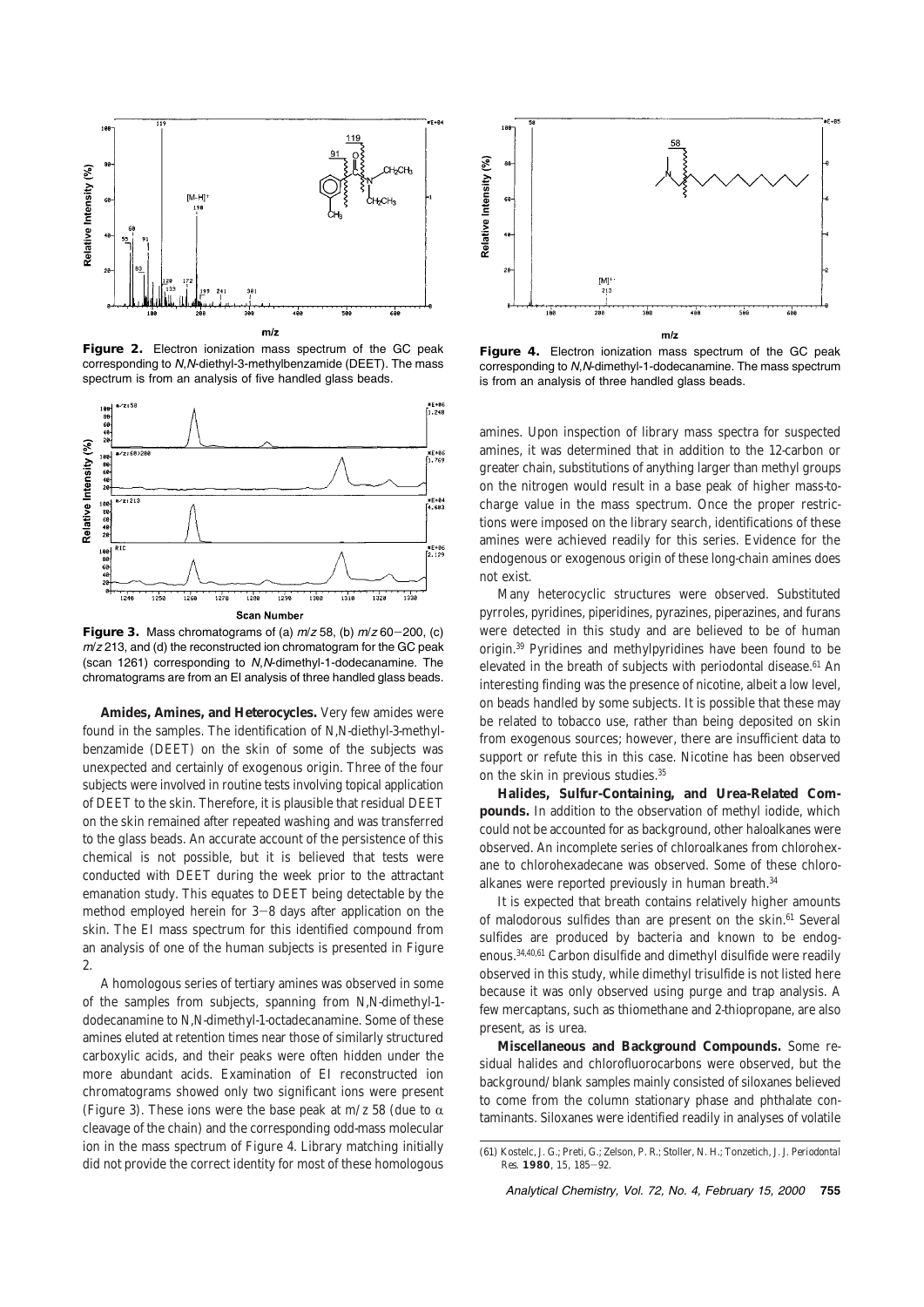

**Figure 2.** Electron ionization mass spectrum of the GC peak corresponding to N,N-diethyl-3-methylbenzamide (DEET). The mass spectrum is from an analysis of five handled glass beads.



**Figure 3.** Mass chromatograms of (a)  $m/z$  58, (b)  $m/z$  60-200, (c)  $m/z$  213, and (d) the reconstructed ion chromatogram for the GC peak (scan 1261) corresponding to N,N-dimethyl-1-dodecanamine. The chromatograms are from an EI analysis of three handled glass beads.

**Amides, Amines, and Heterocycles.** Very few amides were found in the samples. The identification of *N*,*N*-diethyl-3-methylbenzamide (DEET) on the skin of some of the subjects was unexpected and certainly of exogenous origin. Three of the four subjects were involved in routine tests involving topical application of DEET to the skin. Therefore, it is plausible that residual DEET on the skin remained after repeated washing and was transferred to the glass beads. An accurate account of the persistence of this chemical is not possible, but it is believed that tests were conducted with DEET during the week prior to the attractant emanation study. This equates to DEET being detectable by the method employed herein for 3-8 days after application on the skin. The EI mass spectrum for this identified compound from an analysis of one of the human subjects is presented in Figure 2.

A homologous series of tertiary amines was observed in some of the samples from subjects, spanning from *N*,*N*-dimethyl-1 dodecanamine to *N*,*N*-dimethyl-1-octadecanamine. Some of these amines eluted at retention times near those of similarly structured carboxylic acids, and their peaks were often hidden under the more abundant acids. Examination of EI reconstructed ion chromatograms showed only two significant ions were present (Figure 3). These ions were the base peak at  $m/z$  58 (due to  $\alpha$ cleavage of the chain) and the corresponding odd-mass molecular ion in the mass spectrum of Figure 4. Library matching initially did not provide the correct identity for most of these homologous



**Figure 4.** Electron ionization mass spectrum of the GC peak corresponding to N,N-dimethyl-1-dodecanamine. The mass spectrum is from an analysis of three handled glass beads.

amines. Upon inspection of library mass spectra for suspected amines, it was determined that in addition to the 12-carbon or greater chain, substitutions of anything larger than methyl groups on the nitrogen would result in a base peak of higher mass-tocharge value in the mass spectrum. Once the proper restrictions were imposed on the library search, identifications of these amines were achieved readily for this series. Evidence for the endogenous or exogenous origin of these long-chain amines does not exist.

Many heterocyclic structures were observed. Substituted pyrroles, pyridines, piperidines, pyrazines, piperazines, and furans were detected in this study and are believed to be of human origin.39 Pyridines and methylpyridines have been found to be elevated in the breath of subjects with periodontal disease.<sup>61</sup> An interesting finding was the presence of nicotine, albeit a low level, on beads handled by some subjects. It is possible that these may be related to tobacco use, rather than being deposited on skin from exogenous sources; however, there are insufficient data to support or refute this in this case. Nicotine has been observed on the skin in previous studies.<sup>35</sup>

**Halides, Sulfur-Containing, and Urea-Related Compounds.** In addition to the observation of methyl iodide, which could not be accounted for as background, other haloalkanes were observed. An incomplete series of chloroalkanes from chlorohexane to chlorohexadecane was observed. Some of these chloroalkanes were reported previously in human breath.<sup>34</sup>

It is expected that breath contains relatively higher amounts of malodorous sulfides than are present on the skin.<sup>61</sup> Several sulfides are produced by bacteria and known to be endogenous.34,40,61 Carbon disulfide and dimethyl disulfide were readily observed in this study, while dimethyl trisulfide is not listed here because it was only observed using purge and trap analysis. A few mercaptans, such as thiomethane and 2-thiopropane, are also present, as is urea.

**Miscellaneous and Background Compounds.** Some residual halides and chlorofluorocarbons were observed, but the background/blank samples mainly consisted of siloxanes believed to come from the column stationary phase and phthalate contaminants. Siloxanes were identified readily in analyses of volatile

Analytical Chemistry, Vol. 72, No. 4, February 15, 2000 **755**

<sup>(61)</sup> Kostelc, J. G.; Preti, G.; Zelson, P. R.; Stoller, N. H.; Tonzetich, J. *J. Periodontal Res.* **1980**, *15*, 185-92.